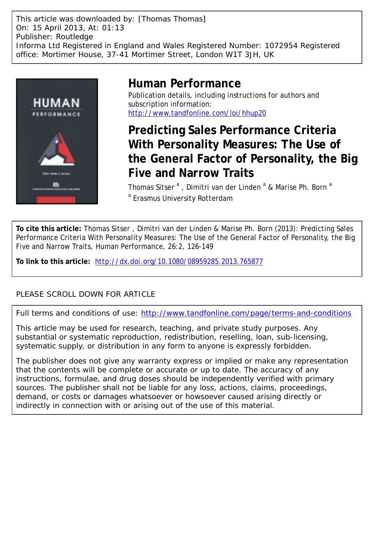This article was downloaded by: [Thomas Thomas] On: 15 April 2013, At: 01:13 Publisher: Routledge Informa Ltd Registered in England and Wales Registered Number: 1072954 Registered office: Mortimer House, 37-41 Mortimer Street, London W1T 3JH, UK



# **Human Performance**

Publication details, including instructions for authors and subscription information: <http://www.tandfonline.com/loi/hhup20>

**Predicting Sales Performance Criteria With Personality Measures: The Use of the General Factor of Personality, the Big Five and Narrow Traits**

Thomas Sitser <sup>a</sup>, Dimitri van der Linden <sup>a</sup> & Marise Ph. Born <sup>a</sup> <sup>a</sup> Erasmus University Rotterdam

**To cite this article:** Thomas Sitser , Dimitri van der Linden & Marise Ph. Born (2013): Predicting Sales Performance Criteria With Personality Measures: The Use of the General Factor of Personality, the Big Five and Narrow Traits, Human Performance, 26:2, 126-149

**To link to this article:** <http://dx.doi.org/10.1080/08959285.2013.765877>

# PLEASE SCROLL DOWN FOR ARTICLE

Full terms and conditions of use:<http://www.tandfonline.com/page/terms-and-conditions>

This article may be used for research, teaching, and private study purposes. Any substantial or systematic reproduction, redistribution, reselling, loan, sub-licensing, systematic supply, or distribution in any form to anyone is expressly forbidden.

The publisher does not give any warranty express or implied or make any representation that the contents will be complete or accurate or up to date. The accuracy of any instructions, formulae, and drug doses should be independently verified with primary sources. The publisher shall not be liable for any loss, actions, claims, proceedings, demand, or costs or damages whatsoever or howsoever caused arising directly or indirectly in connection with or arising out of the use of this material.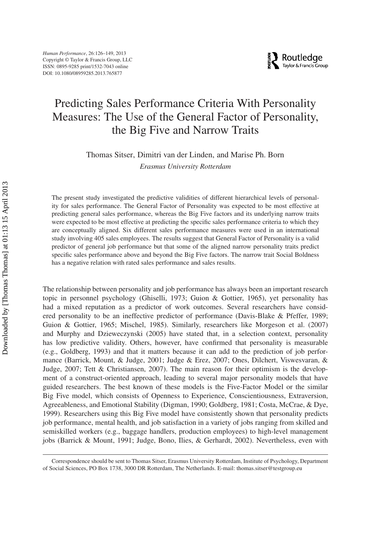

# Predicting Sales Performance Criteria With Personality Measures: The Use of the General Factor of Personality, the Big Five and Narrow Traits

Thomas Sitser, Dimitri van der Linden, and Marise Ph. Born *Erasmus University Rotterdam*

The present study investigated the predictive validities of different hierarchical levels of personality for sales performance. The General Factor of Personality was expected to be most effective at predicting general sales performance, whereas the Big Five factors and its underlying narrow traits were expected to be most effective at predicting the specific sales performance criteria to which they are conceptually aligned. Six different sales performance measures were used in an international study involving 405 sales employees. The results suggest that General Factor of Personality is a valid predictor of general job performance but that some of the aligned narrow personality traits predict specific sales performance above and beyond the Big Five factors. The narrow trait Social Boldness has a negative relation with rated sales performance and sales results.

The relationship between personality and job performance has always been an important research topic in personnel psychology (Ghiselli, 1973; Guion & Gottier, 1965), yet personality has had a mixed reputation as a predictor of work outcomes. Several researchers have considered personality to be an ineffective predictor of performance (Davis-Blake & Pfeffer, 1989; Guion & Gottier, 1965; Mischel, 1985). Similarly, researchers like Morgeson et al. (2007) and Murphy and Dzieweczynski (2005) have stated that, in a selection context, personality has low predictive validity. Others, however, have confirmed that personality is measurable (e.g., Goldberg, 1993) and that it matters because it can add to the prediction of job performance (Barrick, Mount, & Judge, 2001; Judge & Erez, 2007; Ones, Dilchert, Viswesvaran, & Judge, 2007; Tett & Christiansen, 2007). The main reason for their optimism is the development of a construct-oriented approach, leading to several major personality models that have guided researchers. The best known of these models is the Five-Factor Model or the similar Big Five model, which consists of Openness to Experience, Conscientiousness, Extraversion, Agreeableness, and Emotional Stability (Digman, 1990; Goldberg, 1981; Costa, McCrae, & Dye, 1999). Researchers using this Big Five model have consistently shown that personality predicts job performance, mental health, and job satisfaction in a variety of jobs ranging from skilled and semiskilled workers (e.g., baggage handlers, production employees) to high-level management jobs (Barrick & Mount, 1991; Judge, Bono, Ilies, & Gerhardt, 2002). Nevertheless, even with

Correspondence should be sent to Thomas Sitser, Erasmus University Rotterdam, Institute of Psychology, Department of Social Sciences, PO Box 1738, 3000 DR Rotterdam, The Netherlands. E-mail: thomas.sitser@testgroup.eu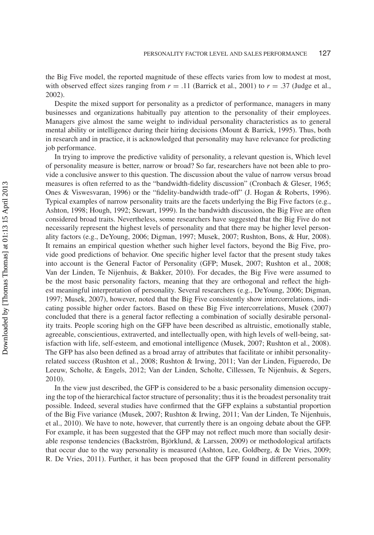the Big Five model, the reported magnitude of these effects varies from low to modest at most, with observed effect sizes ranging from  $r = .11$  (Barrick et al., 2001) to  $r = .37$  (Judge et al., 2002).

Despite the mixed support for personality as a predictor of performance, managers in many businesses and organizations habitually pay attention to the personality of their employees. Managers give almost the same weight to individual personality characteristics as to general mental ability or intelligence during their hiring decisions (Mount & Barrick, 1995). Thus, both in research and in practice, it is acknowledged that personality may have relevance for predicting job performance.

In trying to improve the predictive validity of personality, a relevant question is, Which level of personality measure is better, narrow or broad? So far, researchers have not been able to provide a conclusive answer to this question. The discussion about the value of narrow versus broad measures is often referred to as the "bandwidth-fidelity discussion" (Cronbach & Gleser, 1965; Ones & Viswesvaran, 1996) or the "fidelity-bandwidth trade-off" (J. Hogan & Roberts, 1996). Typical examples of narrow personality traits are the facets underlying the Big Five factors (e.g., Ashton, 1998; Hough, 1992; Stewart, 1999). In the bandwidth discussion, the Big Five are often considered broad traits. Nevertheless, some researchers have suggested that the Big Five do not necessarily represent the highest levels of personality and that there may be higher level personality factors (e.g., DeYoung, 2006; Digman, 1997; Musek, 2007; Rushton, Bons, & Hur, 2008). It remains an empirical question whether such higher level factors, beyond the Big Five, provide good predictions of behavior. One specific higher level factor that the present study takes into account is the General Factor of Personality (GFP; Musek, 2007; Rushton et al., 2008; Van der Linden, Te Nijenhuis, & Bakker, 2010). For decades, the Big Five were assumed to be the most basic personality factors, meaning that they are orthogonal and reflect the highest meaningful interpretation of personality. Several researchers (e.g., DeYoung, 2006; Digman, 1997; Musek, 2007), however, noted that the Big Five consistently show intercorrelations, indicating possible higher order factors. Based on these Big Five intercorrelations, Musek (2007) concluded that there is a general factor reflecting a combination of socially desirable personality traits. People scoring high on the GFP have been described as altruistic, emotionally stable, agreeable, conscientious, extraverted, and intellectually open, with high levels of well-being, satisfaction with life, self-esteem, and emotional intelligence (Musek, 2007; Rushton et al., 2008). The GFP has also been defined as a broad array of attributes that facilitate or inhibit personalityrelated success (Rushton et al., 2008; Rushton & Irwing, 2011; Van der Linden, Figueredo, De Leeuw, Scholte, & Engels, 2012; Van der Linden, Scholte, Cillessen, Te Nijenhuis, & Segers, 2010).

In the view just described, the GFP is considered to be a basic personality dimension occupying the top of the hierarchical factor structure of personality; thus it is the broadest personality trait possible. Indeed, several studies have confirmed that the GFP explains a substantial proportion of the Big Five variance (Musek, 2007; Rushton & Irwing, 2011; Van der Linden, Te Nijenhuis, et al., 2010). We have to note, however, that currently there is an ongoing debate about the GFP. For example, it has been suggested that the GFP may not reflect much more than socially desirable response tendencies (Backström, Björklund, & Larssen, 2009) or methodological artifacts that occur due to the way personality is measured (Ashton, Lee, Goldberg, & De Vries, 2009; R. De Vries, 2011). Further, it has been proposed that the GFP found in different personality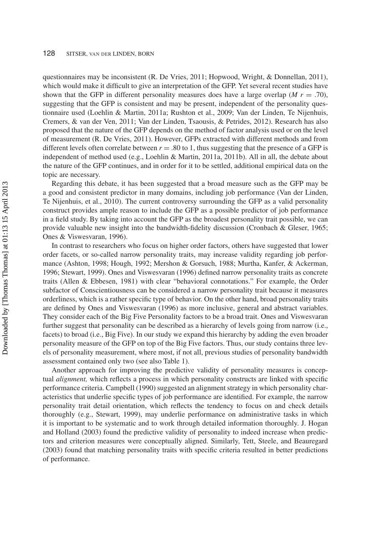questionnaires may be inconsistent (R. De Vries, 2011; Hopwood, Wright, & Donnellan, 2011), which would make it difficult to give an interpretation of the GFP. Yet several recent studies have shown that the GFP in different personality measures does have a large overlap ( $Mr = .70$ ), suggesting that the GFP is consistent and may be present, independent of the personality questionnaire used (Loehlin & Martin, 2011a; Rushton et al., 2009; Van der Linden, Te Nijenhuis, Cremers, & van der Ven, 2011; Van der Linden, Tsaousis, & Petrides, 2012). Research has also proposed that the nature of the GFP depends on the method of factor analysis used or on the level of measurement (R. De Vries, 2011). However, GFPs extracted with different methods and from different levels often correlate between  $r = .80$  to 1, thus suggesting that the presence of a GFP is independent of method used (e.g., Loehlin & Martin, 2011a, 2011b). All in all, the debate about the nature of the GFP continues, and in order for it to be settled, additional empirical data on the topic are necessary.

Regarding this debate, it has been suggested that a broad measure such as the GFP may be a good and consistent predictor in many domains, including job performance (Van der Linden, Te Nijenhuis, et al., 2010). The current controversy surrounding the GFP as a valid personality construct provides ample reason to include the GFP as a possible predictor of job performance in a field study. By taking into account the GFP as the broadest personality trait possible, we can provide valuable new insight into the bandwidth-fidelity discussion (Cronbach & Gleser, 1965; Ones & Viswesvaran, 1996).

In contrast to researchers who focus on higher order factors, others have suggested that lower order facets, or so-called narrow personality traits, may increase validity regarding job performance (Ashton, 1998; Hough, 1992; Mershon & Gorsuch, 1988; Murtha, Kanfer, & Ackerman, 1996; Stewart, 1999). Ones and Viswesvaran (1996) defined narrow personality traits as concrete traits (Allen & Ebbesen, 1981) with clear "behavioral connotations." For example, the Order subfactor of Conscientiousness can be considered a narrow personality trait because it measures orderliness, which is a rather specific type of behavior. On the other hand, broad personality traits are defined by Ones and Viswesvaran (1996) as more inclusive, general and abstract variables. They consider each of the Big Five Personality factors to be a broad trait. Ones and Viswesvaran further suggest that personality can be described as a hierarchy of levels going from narrow (i.e., facets) to broad (i.e., Big Five). In our study we expand this hierarchy by adding the even broader personality measure of the GFP on top of the Big Five factors. Thus, our study contains three levels of personality measurement, where most, if not all, previous studies of personality bandwidth assessment contained only two (see also Table 1).

Another approach for improving the predictive validity of personality measures is conceptual *alignment,* which reflects a process in which personality constructs are linked with specific performance criteria. Campbell (1990) suggested an alignment strategy in which personality characteristics that underlie specific types of job performance are identified. For example, the narrow personality trait detail orientation, which reflects the tendency to focus on and check details thoroughly (e.g., Stewart, 1999), may underlie performance on administrative tasks in which it is important to be systematic and to work through detailed information thoroughly. J. Hogan and Holland (2003) found the predictive validity of personality to indeed increase when predictors and criterion measures were conceptually aligned. Similarly, Tett, Steele, and Beauregard (2003) found that matching personality traits with specific criteria resulted in better predictions of performance.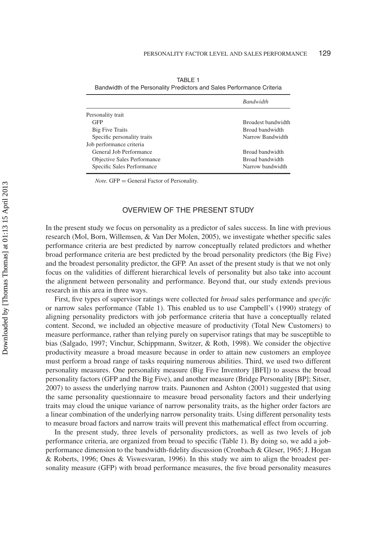|                                    | <b>Bandwidth</b>   |
|------------------------------------|--------------------|
| Personality trait                  |                    |
| <b>GFP</b>                         | Broadest bandwidth |
| Big Five Traits                    | Broad bandwidth    |
| Specific personality traits        | Narrow Bandwidth   |
| Job performance criteria           |                    |
| General Job Performance            | Broad bandwidth    |
| <b>Objective Sales Performance</b> | Broad bandwidth    |
| Specific Sales Performance         | Narrow bandwidth   |

TABLE 1 Bandwidth of the Personality Predictors and Sales Performance Criteria

*Note.* GFP = General Factor of Personality.

# OVERVIEW OF THE PRESENT STUDY

In the present study we focus on personality as a predictor of sales success. In line with previous research (Mol, Born, Willemsen, & Van Der Molen, 2005), we investigate whether specific sales performance criteria are best predicted by narrow conceptually related predictors and whether broad performance criteria are best predicted by the broad personality predictors (the Big Five) and the broadest personality predictor, the GFP. An asset of the present study is that we not only focus on the validities of different hierarchical levels of personality but also take into account the alignment between personality and performance. Beyond that, our study extends previous research in this area in three ways.

First, five types of supervisor ratings were collected for *broad* sales performance and *specific* or narrow sales performance (Table 1). This enabled us to use Campbell's (1990) strategy of aligning personality predictors with job performance criteria that have a conceptually related content. Second, we included an objective measure of productivity (Total New Customers) to measure performance, rather than relying purely on supervisor ratings that may be susceptible to bias (Salgado, 1997; Vinchur, Schippmann, Switzer, & Roth, 1998). We consider the objective productivity measure a broad measure because in order to attain new customers an employee must perform a broad range of tasks requiring numerous abilities. Third, we used two different personality measures. One personality measure (Big Five Inventory [BFI]) to assess the broad personality factors (GFP and the Big Five), and another measure (Bridge Personality [BP]; Sitser, 2007) to assess the underlying narrow traits. Paunonen and Ashton (2001) suggested that using the same personality questionnaire to measure broad personality factors and their underlying traits may cloud the unique variance of narrow personality traits, as the higher order factors are a linear combination of the underlying narrow personality traits. Using different personality tests to measure broad factors and narrow traits will prevent this mathematical effect from occurring.

In the present study, three levels of personality predictors, as well as two levels of job performance criteria, are organized from broad to specific (Table 1). By doing so, we add a jobperformance dimension to the bandwidth-fidelity discussion (Cronbach & Gleser, 1965; J. Hogan & Roberts, 1996; Ones & Viswesvaran, 1996). In this study we aim to align the broadest personality measure (GFP) with broad performance measures, the five broad personality measures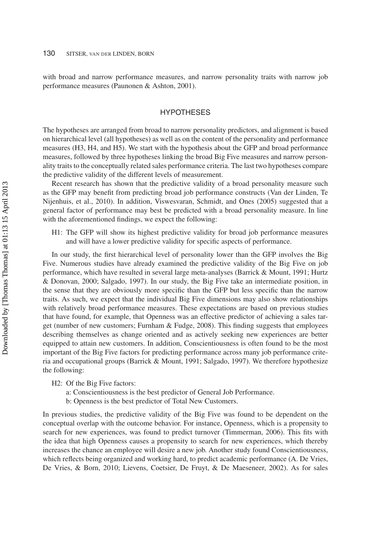with broad and narrow performance measures, and narrow personality traits with narrow job performance measures (Paunonen & Ashton, 2001).

## **HYPOTHESES**

The hypotheses are arranged from broad to narrow personality predictors, and alignment is based on hierarchical level (all hypotheses) as well as on the content of the personality and performance measures (H3, H4, and H5). We start with the hypothesis about the GFP and broad performance measures, followed by three hypotheses linking the broad Big Five measures and narrow personality traits to the conceptually related sales performance criteria. The last two hypotheses compare the predictive validity of the different levels of measurement.

Recent research has shown that the predictive validity of a broad personality measure such as the GFP may benefit from predicting broad job performance constructs (Van der Linden, Te Nijenhuis, et al., 2010). In addition, Viswesvaran, Schmidt, and Ones (2005) suggested that a general factor of performance may best be predicted with a broad personality measure. In line with the aforementioned findings, we expect the following:

H1: The GFP will show its highest predictive validity for broad job performance measures and will have a lower predictive validity for specific aspects of performance.

In our study, the first hierarchical level of personality lower than the GFP involves the Big Five. Numerous studies have already examined the predictive validity of the Big Five on job performance, which have resulted in several large meta-analyses (Barrick & Mount, 1991; Hurtz & Donovan, 2000; Salgado, 1997). In our study, the Big Five take an intermediate position, in the sense that they are obviously more specific than the GFP but less specific than the narrow traits. As such, we expect that the individual Big Five dimensions may also show relationships with relatively broad performance measures. These expectations are based on previous studies that have found, for example, that Openness was an effective predictor of achieving a sales target (number of new customers; Furnham & Fudge, 2008). This finding suggests that employees describing themselves as change oriented and as actively seeking new experiences are better equipped to attain new customers. In addition, Conscientiousness is often found to be the most important of the Big Five factors for predicting performance across many job performance criteria and occupational groups (Barrick & Mount, 1991; Salgado, 1997). We therefore hypothesize the following:

- H2: Of the Big Five factors:
	- a: Conscientiousness is the best predictor of General Job Performance.
	- b: Openness is the best predictor of Total New Customers.

In previous studies, the predictive validity of the Big Five was found to be dependent on the conceptual overlap with the outcome behavior. For instance, Openness, which is a propensity to search for new experiences, was found to predict turnover (Timmerman, 2006). This fits with the idea that high Openness causes a propensity to search for new experiences, which thereby increases the chance an employee will desire a new job. Another study found Conscientiousness, which reflects being organized and working hard, to predict academic performance (A. De Vries, De Vries, & Born, 2010; Lievens, Coetsier, De Fruyt, & De Maeseneer, 2002). As for sales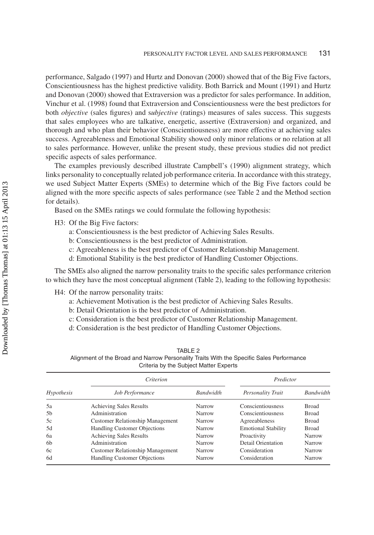performance, Salgado (1997) and Hurtz and Donovan (2000) showed that of the Big Five factors, Conscientiousness has the highest predictive validity. Both Barrick and Mount (1991) and Hurtz and Donovan (2000) showed that Extraversion was a predictor for sales performance. In addition, Vinchur et al. (1998) found that Extraversion and Conscientiousness were the best predictors for both *objective* (sales figures) and s*ubjective* (ratings) measures of sales success. This suggests that sales employees who are talkative, energetic, assertive (Extraversion) and organized, and thorough and who plan their behavior (Conscientiousness) are more effective at achieving sales success. Agreeableness and Emotional Stability showed only minor relations or no relation at all to sales performance. However, unlike the present study, these previous studies did not predict specific aspects of sales performance.

The examples previously described illustrate Campbell's (1990) alignment strategy, which links personality to conceptually related job performance criteria. In accordance with this strategy, we used Subject Matter Experts (SMEs) to determine which of the Big Five factors could be aligned with the more specific aspects of sales performance (see Table 2 and the Method section for details).

Based on the SMEs ratings we could formulate the following hypothesis:

- H3: Of the Big Five factors:
	- a: Conscientiousness is the best predictor of Achieving Sales Results.
	- b: Conscientiousness is the best predictor of Administration.
	- c: Agreeableness is the best predictor of Customer Relationship Management.
	- d: Emotional Stability is the best predictor of Handling Customer Objections.

The SMEs also aligned the narrow personality traits to the specific sales performance criterion to which they have the most conceptual alignment (Table 2), leading to the following hypothesis:

H4: Of the narrow personality traits:

- a: Achievement Motivation is the best predictor of Achieving Sales Results.
- b: Detail Orientation is the best predictor of Administration.
- c: Consideration is the best predictor of Customer Relationship Management.
- d: Consideration is the best predictor of Handling Customer Objections.

|            | Criterion                               |                  | Predictor                  |                  |
|------------|-----------------------------------------|------------------|----------------------------|------------------|
| Hypothesis | Job Performance                         | <b>Bandwidth</b> | Personality Trait          | <b>Bandwidth</b> |
| 5a         | <b>Achieving Sales Results</b>          | <b>Narrow</b>    | Conscientiousness          | <b>Broad</b>     |
| 5b         | Administration                          | Narrow           | Conscientiousness          | <b>Broad</b>     |
| 5c         | <b>Customer Relationship Management</b> | Narrow           | Agreeableness              | <b>Broad</b>     |
| 5d         | <b>Handling Customer Objections</b>     | Narrow           | <b>Emotional Stability</b> | <b>Broad</b>     |
| 6a         | <b>Achieving Sales Results</b>          | Narrow           | Proactivity                | Narrow           |
| 6b         | Administration                          | Narrow           | Detail Orientation         | Narrow           |
| 6с         | <b>Customer Relationship Management</b> | Narrow           | Consideration              | <b>Narrow</b>    |
| 6d         | <b>Handling Customer Objections</b>     | Narrow           | Consideration              | Narrow           |

Alignment of the Broad and Narrow Personality Traits With the Specific Sales Performance Criteria by the Subject Matter Experts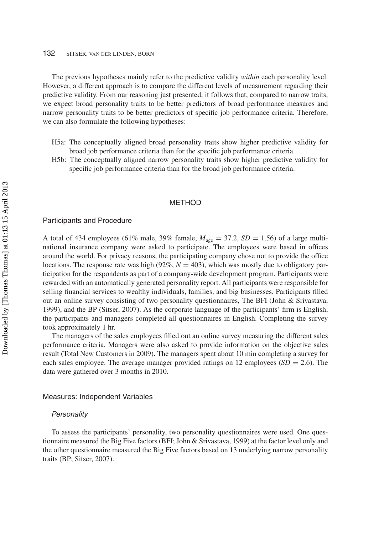## 132 SITSER, VAN DER LINDEN, BORN

The previous hypotheses mainly refer to the predictive validity *within* each personality level. However, a different approach is to compare the different levels of measurement regarding their predictive validity. From our reasoning just presented, it follows that, compared to narrow traits, we expect broad personality traits to be better predictors of broad performance measures and narrow personality traits to be better predictors of specific job performance criteria. Therefore, we can also formulate the following hypotheses:

- H5a: The conceptually aligned broad personality traits show higher predictive validity for broad job performance criteria than for the specific job performance criteria.
- H5b: The conceptually aligned narrow personality traits show higher predictive validity for specific job performance criteria than for the broad job performance criteria.

## METHOD

# Participants and Procedure

A total of 434 employees (61% male, 39% female,  $M_{\text{age}} = 37.2$ ,  $SD = 1.56$ ) of a large multinational insurance company were asked to participate. The employees were based in offices around the world. For privacy reasons, the participating company chose not to provide the office locations. The response rate was high (92%,  $N = 403$ ), which was mostly due to obligatory participation for the respondents as part of a company-wide development program. Participants were rewarded with an automatically generated personality report. All participants were responsible for selling financial services to wealthy individuals, families, and big businesses. Participants filled out an online survey consisting of two personality questionnaires, The BFI (John & Srivastava, 1999), and the BP (Sitser, 2007). As the corporate language of the participants' firm is English, the participants and managers completed all questionnaires in English. Completing the survey took approximately 1 hr.

The managers of the sales employees filled out an online survey measuring the different sales performance criteria. Managers were also asked to provide information on the objective sales result (Total New Customers in 2009). The managers spent about 10 min completing a survey for each sales employee. The average manager provided ratings on 12 employees  $(SD = 2.6)$ . The data were gathered over 3 months in 2010.

Measures: Independent Variables

## *Personality*

To assess the participants' personality, two personality questionnaires were used. One questionnaire measured the Big Five factors (BFI; John & Srivastava, 1999) at the factor level only and the other questionnaire measured the Big Five factors based on 13 underlying narrow personality traits (BP; Sitser, 2007).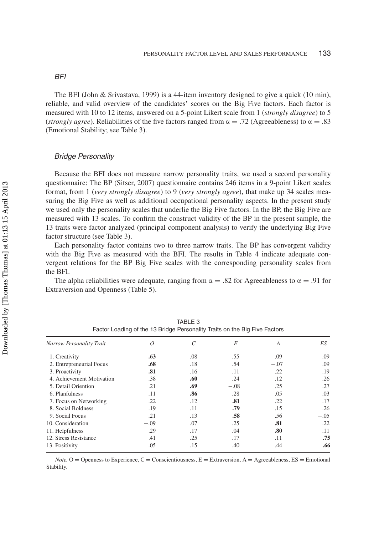## *BFI*

The BFI (John & Srivastava, 1999) is a 44-item inventory designed to give a quick (10 min), reliable, and valid overview of the candidates' scores on the Big Five factors. Each factor is measured with 10 to 12 items, answered on a 5-point Likert scale from 1 (*strongly disagree*) to 5 (*strongly agree*). Reliabilities of the five factors ranged from  $\alpha = .72$  (Agreeableness) to  $\alpha = .83$ (Emotional Stability; see Table 3).

### *Bridge Personality*

Because the BFI does not measure narrow personality traits, we used a second personality questionnaire: The BP (Sitser, 2007) questionnaire contains 246 items in a 9-point Likert scales format, from 1 (*very strongly disagree*) to 9 (*very strongly agree*), that make up 34 scales measuring the Big Five as well as additional occupational personality aspects. In the present study we used only the personality scales that underlie the Big Five factors. In the BP, the Big Five are measured with 13 scales. To confirm the construct validity of the BP in the present sample, the 13 traits were factor analyzed (principal component analysis) to verify the underlying Big Five factor structure (see Table 3).

Each personality factor contains two to three narrow traits. The BP has convergent validity with the Big Five as measured with the BFI. The results in Table 4 indicate adequate convergent relations for the BP Big Five scales with the corresponding personality scales from the BFI.

The alpha reliabilities were adequate, ranging from  $\alpha = .82$  for Agreeableness to  $\alpha = .91$  for Extraversion and Openness (Table 5).

| Narrow Personality Trait  | $\Omega$ | C   | E      | $\overline{A}$ | ES     |
|---------------------------|----------|-----|--------|----------------|--------|
| 1. Creativity             | .63      | .08 | .55    | .09            | .09    |
| 2. Entrepreneurial Focus  | .68      | .18 | .54    | $-.07$         | .09    |
| 3. Proactivity            | .81      | .16 | .11    | .22            | .19    |
| 4. Achievement Motivation | .38      | .60 | .24    | .12            | .26    |
| 5. Detail Oriention       | .21      | .69 | $-.08$ | .25            | .27    |
| 6. Planfulness            | .11      | .86 | .28    | .05            | .03    |
| 7. Focus on Networking    | .22      | .12 | .81    | .22            | .17    |
| 8. Social Boldness        | .19      | .11 | .79    | .15            | .26    |
| 9. Social Focus           | .21      | .13 | .58    | .56            | $-.05$ |
| 10. Consideration         | $-.09$   | .07 | .25    | .81            | .22    |
| 11. Helpfulness           | .29      | .17 | .04    | .80            | .11    |
| 12. Stress Resistance     | .41      | .25 | .17    | .11            | .75    |
| 13. Positivity            | .05      | .15 | .40    | .44            | .66    |
|                           |          |     |        |                |        |

TABLE 3 Factor Loading of the 13 Bridge Personality Traits on the Big Five Factors

 $$ Stability.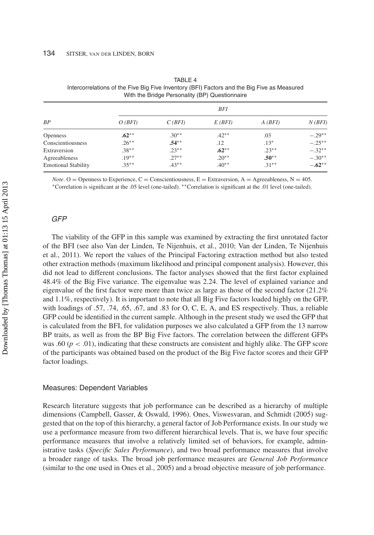|                            |          |          | <b>BFI</b> |           |          |
|----------------------------|----------|----------|------------|-----------|----------|
| ΒP                         | O(BFI)   | C(BFI)   | E(BFI)     | $A$ (BFI) | N(BFI)   |
| <b>Openness</b>            | $.62***$ | $.30**$  | $.42**$    | .03       | $-.29**$ |
| Conscientiousness          | $.26**$  | $.54**$  | .12        | $.13*$    | $-.25**$ |
| Extraversion               | $.38***$ | $.23***$ | $.62***$   | $.23**$   | $-.32**$ |
| Agreeableness              | $.19***$ | $.27**$  | $.20**$    | $.50**$   | $-.30**$ |
| <b>Emotional Stability</b> | $.35***$ | $.43***$ | $.40**$    | $.31***$  | $-.62**$ |

| TABI F 4                                                                                    |
|---------------------------------------------------------------------------------------------|
| Intercorrelations of the Five Big Five Inventory (BFI) Factors and the Big Five as Measured |
| With the Bridge Personality (BP) Questionnaire                                              |

*Note*. O = Openness to Experience, C = Conscientiousness, E = Extraversion, A = Agreeableness, N = 405. ∗Correlation is significant at the .05 level (one-tailed). ∗∗Correlation is significant at the .01 level (one-tailed).

### *GFP*

The viability of the GFP in this sample was examined by extracting the first unrotated factor of the BFI (see also Van der Linden, Te Nijenhuis, et al., 2010; Van der Linden, Te Nijenhuis et al., 2011). We report the values of the Principal Factoring extraction method but also tested other extraction methods (maximum likelihood and principal component analysis). However, this did not lead to different conclusions. The factor analyses showed that the first factor explained 48.4% of the Big Five variance. The eigenvalue was 2.24. The level of explained variance and eigenvalue of the first factor were more than twice as large as those of the second factor (21.2% and 1.1%, respectively). It is important to note that all Big Five factors loaded highly on the GFP, with loadings of .57, .74, .65, .67, and .83 for O, C, E, A, and ES respectively. Thus, a reliable GFP could be identified in the current sample. Although in the present study we used the GFP that is calculated from the BFI, for validation purposes we also calculated a GFP from the 13 narrow BP traits, as well as from the BP Big Five factors. The correlation between the different GFPs was .60 ( $p < .01$ ), indicating that these constructs are consistent and highly alike. The GFP score of the participants was obtained based on the product of the Big Five factor scores and their GFP factor loadings.

# Measures: Dependent Variables

Research literature suggests that job performance can be described as a hierarchy of multiple dimensions (Campbell, Gasser, & Oswald, 1996). Ones, Viswesvaran, and Schmidt (2005) suggested that on the top of this hierarchy, a general factor of Job Performance exists. In our study we use a performance measure from two different hierarchical levels. That is, we have four specific performance measures that involve a relatively limited set of behaviors, for example, administrative tasks (*Specific Sales Performance*), and two broad performance measures that involve a broader range of tasks. The broad job performance measures are *General Job Performance* (similar to the one used in Ones et al., 2005) and a broad objective measure of job performance.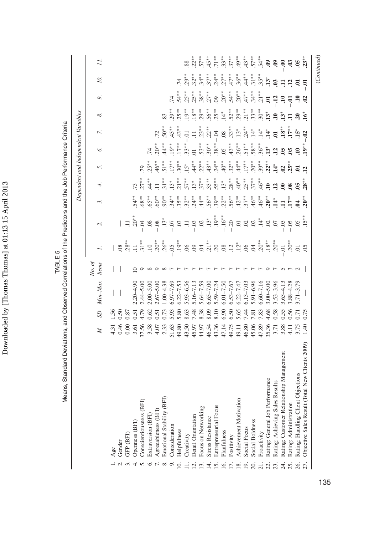|                |                                                    |                       |                |               |                        |                                                                                                                                                                                                                                                                                                                                                                                                                                           |                                                                                                                                                                                                                                                                                                                                                                                                                                                                                     |                        |                     |                            |                                                                   | Dependent and Independent Variables                |                                                                                         |                                                                          |                                                                                                                                                                                                                                                                                                                                                                                                                                                                                                   |                                                                                                                                                                                                                                                                                                                                                                              |
|----------------|----------------------------------------------------|-----------------------|----------------|---------------|------------------------|-------------------------------------------------------------------------------------------------------------------------------------------------------------------------------------------------------------------------------------------------------------------------------------------------------------------------------------------------------------------------------------------------------------------------------------------|-------------------------------------------------------------------------------------------------------------------------------------------------------------------------------------------------------------------------------------------------------------------------------------------------------------------------------------------------------------------------------------------------------------------------------------------------------------------------------------|------------------------|---------------------|----------------------------|-------------------------------------------------------------------|----------------------------------------------------|-----------------------------------------------------------------------------------------|--------------------------------------------------------------------------|---------------------------------------------------------------------------------------------------------------------------------------------------------------------------------------------------------------------------------------------------------------------------------------------------------------------------------------------------------------------------------------------------------------------------------------------------------------------------------------------------|------------------------------------------------------------------------------------------------------------------------------------------------------------------------------------------------------------------------------------------------------------------------------------------------------------------------------------------------------------------------------|
|                |                                                    | Z                     | S <sub>D</sub> | Min-Max       | No. of<br><b>Items</b> | I.                                                                                                                                                                                                                                                                                                                                                                                                                                        | $\sim$                                                                                                                                                                                                                                                                                                                                                                                                                                                                              | 2.                     | 4.                  | 5.                         | Ó.                                                                | 7.                                                 | ∽                                                                                       | o,                                                                       | 20.                                                                                                                                                                                                                                                                                                                                                                                                                                                                                               | 11.                                                                                                                                                                                                                                                                                                                                                                          |
|                | Age                                                | 4.31                  | 1.56           |               |                        |                                                                                                                                                                                                                                                                                                                                                                                                                                           |                                                                                                                                                                                                                                                                                                                                                                                                                                                                                     |                        |                     |                            |                                                                   |                                                    |                                                                                         |                                                                          |                                                                                                                                                                                                                                                                                                                                                                                                                                                                                                   |                                                                                                                                                                                                                                                                                                                                                                              |
|                | Gender                                             | 0.46                  | 0.50           |               |                        |                                                                                                                                                                                                                                                                                                                                                                                                                                           |                                                                                                                                                                                                                                                                                                                                                                                                                                                                                     |                        |                     |                            |                                                                   |                                                    |                                                                                         |                                                                          |                                                                                                                                                                                                                                                                                                                                                                                                                                                                                                   |                                                                                                                                                                                                                                                                                                                                                                              |
|                | GFP (BFI)                                          | 0.00                  | 0.87           |               |                        | $\overset{}{\mathcal{S}}\overset{}{\mathcal{S}}\overset{}{\mathcal{S}}\overset{}{\mathcal{S}}\overset{}{\mathcal{S}}\overset{}{\mathcal{S}}\overset{}{\mathcal{S}}\overset{}{\mathcal{S}}\overset{}{\mathcal{S}}\overset{}{\mathcal{S}}\overset{}{\mathcal{S}}\overset{}{\mathcal{S}}\overset{}{\mathcal{S}}\overset{}{\mathcal{S}}\overset{}{\mathcal{S}}\overset{}{\mathcal{S}}\overset{}{\mathcal{S}}\overset{}{\mathcal{S}}\overset{$ | $1 = \frac{2}{5} \times \frac{1}{5} \times \frac{1}{5} \times \frac{1}{5} \times \frac{1}{5} \times \frac{1}{5} \times \frac{1}{5} \times \frac{1}{5} \times \frac{1}{5} \times \frac{1}{5} \times \frac{1}{5} \times \frac{1}{5} \times \frac{1}{5} \times \frac{1}{5} \times \frac{1}{5} \times \frac{1}{5} \times \frac{1}{5} \times \frac{1}{5} \times \frac{1}{5} \times \frac{1}{5} \times \frac{1}{5} \times \frac{1}{5} \times \frac{1}{5} \times \frac{1}{5} \times \frac$ |                        |                     |                            |                                                                   |                                                    |                                                                                         |                                                                          |                                                                                                                                                                                                                                                                                                                                                                                                                                                                                                   |                                                                                                                                                                                                                                                                                                                                                                              |
|                | Openness (BFI)                                     | 3.61                  | 0.51           | $2.20 - 4.90$ | $\subseteq$            |                                                                                                                                                                                                                                                                                                                                                                                                                                           |                                                                                                                                                                                                                                                                                                                                                                                                                                                                                     | $.54**$                |                     |                            |                                                                   |                                                    |                                                                                         |                                                                          |                                                                                                                                                                                                                                                                                                                                                                                                                                                                                                   |                                                                                                                                                                                                                                                                                                                                                                              |
|                | Conscientiousness (BFI)                            | 37.56<br>3.58<br>4.07 | 4.79           | $2.44 - 5.00$ | O                      |                                                                                                                                                                                                                                                                                                                                                                                                                                           |                                                                                                                                                                                                                                                                                                                                                                                                                                                                                     | $^{**}89$ .            | $.27**$             |                            |                                                                   |                                                    |                                                                                         |                                                                          |                                                                                                                                                                                                                                                                                                                                                                                                                                                                                                   |                                                                                                                                                                                                                                                                                                                                                                              |
|                | Extraversion (BFI)                                 |                       | 0.62           | $2.00 - 5.00$ |                        |                                                                                                                                                                                                                                                                                                                                                                                                                                           |                                                                                                                                                                                                                                                                                                                                                                                                                                                                                     | $.65**$                | $44^*$              | $25**$                     |                                                                   |                                                    |                                                                                         |                                                                          |                                                                                                                                                                                                                                                                                                                                                                                                                                                                                                   |                                                                                                                                                                                                                                                                                                                                                                              |
|                | Agreeableness (BFI                                 |                       | 0.51           | $2.67 - 5.00$ |                        |                                                                                                                                                                                                                                                                                                                                                                                                                                           |                                                                                                                                                                                                                                                                                                                                                                                                                                                                                     | $.60**$                | $\equiv$            | $46**$                     | $20^{**}$                                                         |                                                    |                                                                                         |                                                                          |                                                                                                                                                                                                                                                                                                                                                                                                                                                                                                   |                                                                                                                                                                                                                                                                                                                                                                              |
|                | Emotional Stability (BFI                           | 2.33                  | 0.73           | $1.00 - 4.38$ |                        |                                                                                                                                                                                                                                                                                                                                                                                                                                           |                                                                                                                                                                                                                                                                                                                                                                                                                                                                                     |                        | $.31***$            | $51**$                     | $4*$                                                              | $50**$                                             |                                                                                         |                                                                          |                                                                                                                                                                                                                                                                                                                                                                                                                                                                                                   |                                                                                                                                                                                                                                                                                                                                                                              |
|                | Consideration                                      | 51.63                 | 5.93           | $6.97 - 7.69$ |                        |                                                                                                                                                                                                                                                                                                                                                                                                                                           |                                                                                                                                                                                                                                                                                                                                                                                                                                                                                     |                        | $.13*$              | $17**$                     |                                                                   | $.45**$                                            | $29**$                                                                                  |                                                                          |                                                                                                                                                                                                                                                                                                                                                                                                                                                                                                   |                                                                                                                                                                                                                                                                                                                                                                              |
|                | Helpfulness                                        | 49.80                 | 5.80           | $6.22 - 7.53$ |                        |                                                                                                                                                                                                                                                                                                                                                                                                                                           |                                                                                                                                                                                                                                                                                                                                                                                                                                                                                     |                        | $.57**$             | $.30**$                    | $19**$<br>$17**$<br>$33**$<br>$55**$                              | $43**$<br>-.01<br>-.01                             | $.25**$                                                                                 |                                                                          |                                                                                                                                                                                                                                                                                                                                                                                                                                                                                                   |                                                                                                                                                                                                                                                                                                                                                                              |
|                | Creativity                                         | 43.50                 | 8.63           | $5.93 - 6.56$ |                        |                                                                                                                                                                                                                                                                                                                                                                                                                                           |                                                                                                                                                                                                                                                                                                                                                                                                                                                                                     |                        |                     |                            |                                                                   |                                                    | $\cdot^{19^{**}}$                                                                       | $.54**$<br>25**                                                          |                                                                                                                                                                                                                                                                                                                                                                                                                                                                                                   |                                                                                                                                                                                                                                                                                                                                                                              |
|                | Detail Orientation                                 | 45.97                 | 7.48           | $5.16 - 7.13$ |                        |                                                                                                                                                                                                                                                                                                                                                                                                                                           |                                                                                                                                                                                                                                                                                                                                                                                                                                                                                     |                        |                     |                            |                                                                   |                                                    | $.18^{**}$                                                                              | $25**$                                                                   |                                                                                                                                                                                                                                                                                                                                                                                                                                                                                                   |                                                                                                                                                                                                                                                                                                                                                                              |
|                | Focus on Networking                                | 44.54<br>46.54        | 8.38           | $5.64 - 7.59$ |                        |                                                                                                                                                                                                                                                                                                                                                                                                                                           |                                                                                                                                                                                                                                                                                                                                                                                                                                                                                     | $.56**$                |                     |                            | $.53**$<br>$.30**$<br>$.38**$<br>$.43**$                          | $.23**$<br>$.22**$<br>$-0.04$                      | $.29***$                                                                                | $.38***$<br>$.27***$                                                     | $\begin{array}{cccccccccccccc} \mathring{0} & \mathring{0} & \mathring{1} & \mathring{1} & \mathring{1} & \mathring{1} & \mathring{1} & \mathring{1} & \mathring{1} & \mathring{1} & \mathring{1} & \mathring{1} & \mathring{1} & \mathring{1} & \mathring{1} & \mathring{1} & \mathring{1} & \mathring{1} & \mathring{1} & \mathring{1} & \mathring{1} & \mathring{1} & \mathring{1} & \mathring{1} & \mathring{1} & \mathring{1} & \mathring{1} & \mathring{1} & \mathring{1} & \mathring{1} &$ | $\begin{array}{l} \vec{c_1} \\ \vec{c_2} \\ \vec{c_3} \\ \vec{c_4} \\ \vec{d_5} \\ \vec{e_6} \\ \vec{e_7} \\ \vec{e_8} \\ \vec{e_9} \\ \vec{e_1} \\ \vec{e_2} \\ \vec{e_1} \\ \vec{e_2} \\ \vec{e_3} \\ \vec{e_4} \\ \vec{e_7} \\ \vec{e_8} \\ \vec{e_9} \\ \vec{e_1} \\ \vec{e_1} \\ \vec{e_2} \\ \vec{e_3} \\ \vec{e_4} \\ \vec{e_6} \\ \vec{e_7} \\ \vec{e_8} \\ \vec{e_$ |
| 14.            | Stress Resistance                                  |                       | 8.09           | $6.65 - 7.00$ |                        |                                                                                                                                                                                                                                                                                                                                                                                                                                           |                                                                                                                                                                                                                                                                                                                                                                                                                                                                                     |                        |                     |                            |                                                                   |                                                    | $.56***$<br>$.25***$                                                                    |                                                                          |                                                                                                                                                                                                                                                                                                                                                                                                                                                                                                   |                                                                                                                                                                                                                                                                                                                                                                              |
| 5              | Entrepreneurial Focus                              | 43.36                 | 8.10           | $5.59 - 7.24$ |                        |                                                                                                                                                                                                                                                                                                                                                                                                                                           |                                                                                                                                                                                                                                                                                                                                                                                                                                                                                     | $.39***$<br>$.22***$   |                     |                            |                                                                   |                                                    |                                                                                         | $\ddot{\circ}$                                                           |                                                                                                                                                                                                                                                                                                                                                                                                                                                                                                   |                                                                                                                                                                                                                                                                                                                                                                              |
| ف              | Planfulness                                        | 47.14                 | 6.90           | $6.01 - 7.50$ |                        |                                                                                                                                                                                                                                                                                                                                                                                                                                           |                                                                                                                                                                                                                                                                                                                                                                                                                                                                                     |                        |                     |                            |                                                                   |                                                    | $.14*$                                                                                  |                                                                          |                                                                                                                                                                                                                                                                                                                                                                                                                                                                                                   |                                                                                                                                                                                                                                                                                                                                                                              |
|                | Positivity                                         | 49.75                 | 6.50           | $6.53 - 7.67$ |                        |                                                                                                                                                                                                                                                                                                                                                                                                                                           |                                                                                                                                                                                                                                                                                                                                                                                                                                                                                     | $56**$<br>42**<br>37** |                     |                            |                                                                   | $\overset{08}{33^{**}}$<br>$\overset{37}{13^{**}}$ | $.52***$                                                                                | $\begin{array}{c} 20**\\ 70**\\ 20**\\ 17**\\ 31**\\ 21**\\ \end{array}$ |                                                                                                                                                                                                                                                                                                                                                                                                                                                                                                   |                                                                                                                                                                                                                                                                                                                                                                              |
|                | Achievement Motivation                             | 49.11                 | 5.65           | $6.22 - 7.47$ |                        |                                                                                                                                                                                                                                                                                                                                                                                                                                           |                                                                                                                                                                                                                                                                                                                                                                                                                                                                                     |                        |                     |                            |                                                                   |                                                    |                                                                                         |                                                                          |                                                                                                                                                                                                                                                                                                                                                                                                                                                                                                   |                                                                                                                                                                                                                                                                                                                                                                              |
| $\overline{9}$ | Social Focus                                       | 46.80                 | 7.44           | $6.13 - 7.03$ |                        |                                                                                                                                                                                                                                                                                                                                                                                                                                           |                                                                                                                                                                                                                                                                                                                                                                                                                                                                                     |                        |                     |                            |                                                                   |                                                    |                                                                                         |                                                                          |                                                                                                                                                                                                                                                                                                                                                                                                                                                                                                   |                                                                                                                                                                                                                                                                                                                                                                              |
|                | Social Boldness                                    | 45.06                 | 7.81           | $5.91 - 6.96$ |                        |                                                                                                                                                                                                                                                                                                                                                                                                                                           |                                                                                                                                                                                                                                                                                                                                                                                                                                                                                     | $46**$                 |                     | $.20**$                    | $\begin{array}{l} 26^{**} \\ -58^{**} \\ -36^{**} \\ \end{array}$ | $\frac{4}{4}$                                      | $\begin{array}{l} \text{21}** \\ \text{33}** \\ \text{35}** \\ \text{36}** \end{array}$ |                                                                          |                                                                                                                                                                                                                                                                                                                                                                                                                                                                                                   |                                                                                                                                                                                                                                                                                                                                                                              |
|                | Proactivity                                        | 47.89                 | 7.83           | $6.60 - 7.16$ |                        |                                                                                                                                                                                                                                                                                                                                                                                                                                           |                                                                                                                                                                                                                                                                                                                                                                                                                                                                                     | $46*$                  | $.46**$             | $.39***$                   |                                                                   | .14 $*$                                            |                                                                                         |                                                                          |                                                                                                                                                                                                                                                                                                                                                                                                                                                                                                   |                                                                                                                                                                                                                                                                                                                                                                              |
|                | Rating: General Job Performance                    | 35.36                 | 4.68           | $3.00 - 5.00$ |                        |                                                                                                                                                                                                                                                                                                                                                                                                                                           | $\overline{0}$                                                                                                                                                                                                                                                                                                                                                                                                                                                                      | $.20**$                | $\ddot{=}$          | $.22***$                   | $\ddot{3}^*$                                                      | $\ddot{4}$ 5                                       | $\mathop{1\hskip-2pt d}\limits^*_{-1.0}$                                                | $\Xi$                                                                    |                                                                                                                                                                                                                                                                                                                                                                                                                                                                                                   |                                                                                                                                                                                                                                                                                                                                                                              |
|                | Rating: Achieving Sales Results                    | 3.71<br>3.88          | 0.58           | $3.53 - 3.96$ |                        |                                                                                                                                                                                                                                                                                                                                                                                                                                           | $07$                                                                                                                                                                                                                                                                                                                                                                                                                                                                                | $\ddot{4}$             |                     | $\stackrel{*}{\mathbf{H}}$ | $\ddot{5}$                                                        |                                                    |                                                                                         |                                                                          |                                                                                                                                                                                                                                                                                                                                                                                                                                                                                                   |                                                                                                                                                                                                                                                                                                                                                                              |
|                | Rating: Customer Relationship Management           |                       | 0.55           | $3.63 - 4.13$ |                        |                                                                                                                                                                                                                                                                                                                                                                                                                                           | $-0.03$                                                                                                                                                                                                                                                                                                                                                                                                                                                                             | $\Xi$                  |                     | $2\frac{3}{5}$             |                                                                   | $18^{*}$                                           | $\ddot{3}^*$                                                                            | 795                                                                      |                                                                                                                                                                                                                                                                                                                                                                                                                                                                                                   |                                                                                                                                                                                                                                                                                                                                                                              |
|                | Rating: Administration                             | 4.11                  | 0.56           | $3.88 - 4.28$ |                        |                                                                                                                                                                                                                                                                                                                                                                                                                                           |                                                                                                                                                                                                                                                                                                                                                                                                                                                                                     | .17**                  |                     |                            |                                                                   | $.17$ <sup>*</sup>                                 | $\Xi$                                                                                   |                                                                          |                                                                                                                                                                                                                                                                                                                                                                                                                                                                                                   | $e^{\frac{1}{2}}e^{\frac{1}{2}}e^{\frac{1}{2}}e^{\frac{1}{2}}$                                                                                                                                                                                                                                                                                                               |
|                | Rating: Handling Client Objections                 | 3.75                  | 0.71           | $.71 - 3.79$  |                        | $\overline{0}$ 5                                                                                                                                                                                                                                                                                                                                                                                                                          | $\rm 50$                                                                                                                                                                                                                                                                                                                                                                                                                                                                            | $\ddot{a}$             | $\ddot{\mathbf{e}}$ | ē                          |                                                                   | $\mathbf{5}^*$                                     | $\frac{3}{16}$                                                                          |                                                                          |                                                                                                                                                                                                                                                                                                                                                                                                                                                                                                   |                                                                                                                                                                                                                                                                                                                                                                              |
|                | New Clients 2009)<br>Objective Sales Result (Total | $0+1$                 | 0.75           |               |                        |                                                                                                                                                                                                                                                                                                                                                                                                                                           | $.15*$                                                                                                                                                                                                                                                                                                                                                                                                                                                                              | $20**$                 | $28^*$              | $\overline{12}$            | $\ddot{9}$                                                        | $-0.2$                                             |                                                                                         | $\ddot{0}$                                                               | ig.                                                                                                                                                                                                                                                                                                                                                                                                                                                                                               |                                                                                                                                                                                                                                                                                                                                                                              |

TABLE 5<br>Means, Standard Deviations, and Observed Correlations of the Predictors and the Job Performance Criteria Means, Standard Deviations, and Observed Correlations of the Predictors and the Job Performance Criteria

Downloaded by [Thomas Thomas] at 01:13 15 April 2013

Downloaded by [Thomas Thomas] at 01:13 15 April 2013

135

(*Continued*)

 $(Continued) % \begin{minipage}[b]{0.5\linewidth} \centering \centerline{\includegraphics[width=0.5\linewidth]{images/STM100020.jpg} \centerline{\includegraphics[width=0.5\linewidth]{images/STM100020.jpg} \centerline{\includegraphics[width=0.5\linewidth]{images/STM100020.jpg} \centerline{\includegraphics[width=0.5\linewidth]{images/STM100020.jpg} \centerline{\includegraphics[width=0.5\linewidth]{images/STM100020.jpg} \centerline{\includegraphics[width=0.5\linewidth]{images/STM100020.jpg} \centerline{\includegraphics[width=0.5\linewidth]{images/STM100020.jpg} \centerline{\includegraphics[width$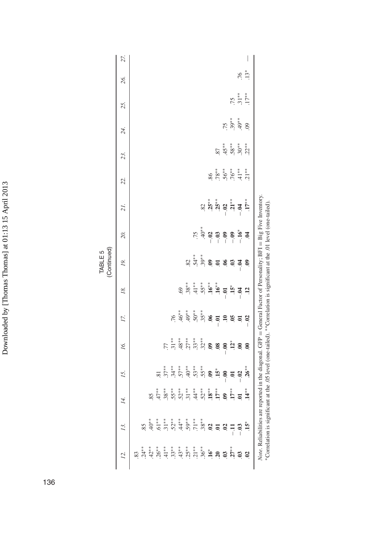|                                                                                                                                                                                                                                                                                                                                                                           |                                                                                                                                                                                                                                                                                                                                                                                                                                                         |                                                                                      |                       |                 |                             |                                                                                                                                                                                                                                                     | (Continued)<br>TABLE <sub>5</sub>                                                                                                                                                                                                                                                                                                                                                                                                                                           |                                                             |                                                                                                                                                                                                               |                                                               |           |                 |               |        |     |
|---------------------------------------------------------------------------------------------------------------------------------------------------------------------------------------------------------------------------------------------------------------------------------------------------------------------------------------------------------------------------|---------------------------------------------------------------------------------------------------------------------------------------------------------------------------------------------------------------------------------------------------------------------------------------------------------------------------------------------------------------------------------------------------------------------------------------------------------|--------------------------------------------------------------------------------------|-----------------------|-----------------|-----------------------------|-----------------------------------------------------------------------------------------------------------------------------------------------------------------------------------------------------------------------------------------------------|-----------------------------------------------------------------------------------------------------------------------------------------------------------------------------------------------------------------------------------------------------------------------------------------------------------------------------------------------------------------------------------------------------------------------------------------------------------------------------|-------------------------------------------------------------|---------------------------------------------------------------------------------------------------------------------------------------------------------------------------------------------------------------|---------------------------------------------------------------|-----------|-----------------|---------------|--------|-----|
|                                                                                                                                                                                                                                                                                                                                                                           | 13.                                                                                                                                                                                                                                                                                                                                                                                                                                                     |                                                                                      | 15.                   | 16.             | 17.                         | 18.                                                                                                                                                                                                                                                 | 19.                                                                                                                                                                                                                                                                                                                                                                                                                                                                         | 20.                                                         | 21.                                                                                                                                                                                                           | 22.                                                           | 23.       | 24.             | 25.           | 26.    | 27. |
|                                                                                                                                                                                                                                                                                                                                                                           |                                                                                                                                                                                                                                                                                                                                                                                                                                                         |                                                                                      |                       |                 |                             |                                                                                                                                                                                                                                                     |                                                                                                                                                                                                                                                                                                                                                                                                                                                                             |                                                             |                                                                                                                                                                                                               |                                                               |           |                 |               |        |     |
|                                                                                                                                                                                                                                                                                                                                                                           |                                                                                                                                                                                                                                                                                                                                                                                                                                                         |                                                                                      |                       |                 |                             |                                                                                                                                                                                                                                                     |                                                                                                                                                                                                                                                                                                                                                                                                                                                                             |                                                             |                                                                                                                                                                                                               |                                                               |           |                 |               |        |     |
| $.42**$                                                                                                                                                                                                                                                                                                                                                                   | $\begin{array}{ccccccccc}\n\ddot{a}_{1} & \ddot{x}_{2} & \ddot{x}_{3} & \ddot{x}_{4} & \ddot{x}_{5} & \ddot{x}_{6} & \dot{x}_{7} & \dot{x}_{8} & \dot{x}_{9} & \dot{x}_{1} & \dot{x}_{1} & \dot{x}_{1} & \dot{x}_{1} & \dot{x}_{1} & \dot{x}_{1} & \dot{x}_{1} & \dot{x}_{1} & \dot{x}_{1} & \dot{x}_{1} & \dot{x}_{1} & \dot{x}_{1} & \dot{x}_{1} & \dot{x}_{1} & \dot{x}_{1} & \dot{x}_{1} & \dot{x}_{1} & \dot{x}_{1} & \dot{x}_{1} & \dot{x}_{1} &$ | 85.                                                                                  |                       |                 |                             |                                                                                                                                                                                                                                                     |                                                                                                                                                                                                                                                                                                                                                                                                                                                                             |                                                             |                                                                                                                                                                                                               |                                                               |           |                 |               |        |     |
|                                                                                                                                                                                                                                                                                                                                                                           |                                                                                                                                                                                                                                                                                                                                                                                                                                                         |                                                                                      | $\overline{8}$        |                 |                             |                                                                                                                                                                                                                                                     |                                                                                                                                                                                                                                                                                                                                                                                                                                                                             |                                                             |                                                                                                                                                                                                               |                                                               |           |                 |               |        |     |
|                                                                                                                                                                                                                                                                                                                                                                           |                                                                                                                                                                                                                                                                                                                                                                                                                                                         | $.47**$<br>38**                                                                      | $.37***$              | 77              |                             |                                                                                                                                                                                                                                                     |                                                                                                                                                                                                                                                                                                                                                                                                                                                                             |                                                             |                                                                                                                                                                                                               |                                                               |           |                 |               |        |     |
|                                                                                                                                                                                                                                                                                                                                                                           |                                                                                                                                                                                                                                                                                                                                                                                                                                                         | $55**$                                                                               | $.34***$              | $.31***$        | .76                         |                                                                                                                                                                                                                                                     |                                                                                                                                                                                                                                                                                                                                                                                                                                                                             |                                                             |                                                                                                                                                                                                               |                                                               |           |                 |               |        |     |
|                                                                                                                                                                                                                                                                                                                                                                           |                                                                                                                                                                                                                                                                                                                                                                                                                                                         |                                                                                      | $.57**$               | $.48**$         | $.46**$                     | 69                                                                                                                                                                                                                                                  |                                                                                                                                                                                                                                                                                                                                                                                                                                                                             |                                                             |                                                                                                                                                                                                               |                                                               |           |                 |               |        |     |
| $\ddot{S}_{1}^{**}=\ddot{S}_{1}^{**}+\ddot{S}_{2}^{**}+\ddot{S}_{3}^{**}+\ddot{S}_{4}^{**}+\ddot{S}_{5}^{**}+\ddot{S}_{6}^{**}+\ddot{S}_{7}^{**}+\ddot{S}_{8}^{**}+\ddot{S}_{9}^{**}+\ddot{S}_{1}^{**}+\ddot{S}_{1}^{**}+\ddot{S}_{1}^{**}+\ddot{S}_{1}^{**}+\ddot{S}_{1}^{**}+\ddot{S}_{1}^{**}+\ddot{S}_{1}^{**}+\ddot{S}_{1}^{**}+\ddot{S}_{1}^{**}+\ddot{S}_{1}^{**}$ |                                                                                                                                                                                                                                                                                                                                                                                                                                                         |                                                                                      |                       |                 | $49**$                      |                                                                                                                                                                                                                                                     |                                                                                                                                                                                                                                                                                                                                                                                                                                                                             |                                                             |                                                                                                                                                                                                               |                                                               |           |                 |               |        |     |
|                                                                                                                                                                                                                                                                                                                                                                           |                                                                                                                                                                                                                                                                                                                                                                                                                                                         |                                                                                      | $40**$<br>53 ** 55 ** |                 | $\frac{50}{35}$ **<br>35 ** | $\overset{*}{\mathbf{36}}\overset{*}{\mathbf{57}}\overset{*}{\mathbf{67}}\overset{*}{\mathbf{68}}\overset{*}{\mathbf{69}}\overset{*}{\mathbf{75}}\overset{*}{\mathbf{89}}\overset{*}{\mathbf{89}}\overset{*}{\mathbf{196}}\overset{*}{\mathbf{59}}$ | $\overset{*}{\approx}$ $\overset{*}{\approx}$ $\overset{*}{\approx}$ $\overset{*}{\approx}$ $\overset{*}{\approx}$ $\overset{*}{\approx}$ $\overset{*}{\approx}$ $\overset{*}{\approx}$ $\overset{*}{\approx}$ $\overset{*}{\approx}$ $\overset{*}{\approx}$ $\overset{*}{\approx}$ $\overset{*}{\approx}$ $\overset{*}{\approx}$ $\overset{*}{\approx}$ $\overset{*}{\approx}$ $\overset{*}{\approx}$ $\overset{*}{\approx}$ $\overset{*}{\approx}$ $\overset{*}{\approx}$ |                                                             |                                                                                                                                                                                                               |                                                               |           |                 |               |        |     |
|                                                                                                                                                                                                                                                                                                                                                                           |                                                                                                                                                                                                                                                                                                                                                                                                                                                         |                                                                                      |                       |                 |                             |                                                                                                                                                                                                                                                     |                                                                                                                                                                                                                                                                                                                                                                                                                                                                             | $-15$<br>$-10$<br>$-10$<br>$-10$<br>$-10$<br>$-10$<br>$-10$ |                                                                                                                                                                                                               |                                                               |           |                 |               |        |     |
|                                                                                                                                                                                                                                                                                                                                                                           |                                                                                                                                                                                                                                                                                                                                                                                                                                                         |                                                                                      |                       |                 |                             |                                                                                                                                                                                                                                                     |                                                                                                                                                                                                                                                                                                                                                                                                                                                                             |                                                             | $\begin{array}{c} \mathbb{S} \\ \mathbb{S} \\ \mathbb{S} \end{array} \begin{array}{c} \mathbb{S} \\ \mathbb{S} \\ \mathbb{S} \end{array} \begin{array}{c} \mathbb{S} \\ \mathbb{S} \\ \mathbb{S} \end{array}$ | 86                                                            |           |                 |               |        |     |
|                                                                                                                                                                                                                                                                                                                                                                           |                                                                                                                                                                                                                                                                                                                                                                                                                                                         |                                                                                      | $\ddot{g}$ is         |                 | $-0.01$                     |                                                                                                                                                                                                                                                     |                                                                                                                                                                                                                                                                                                                                                                                                                                                                             |                                                             |                                                                                                                                                                                                               |                                                               | 87        |                 |               |        |     |
|                                                                                                                                                                                                                                                                                                                                                                           |                                                                                                                                                                                                                                                                                                                                                                                                                                                         |                                                                                      | $-0.00$               |                 |                             | $-0.1$                                                                                                                                                                                                                                              |                                                                                                                                                                                                                                                                                                                                                                                                                                                                             |                                                             |                                                                                                                                                                                                               |                                                               | $45**$    | .75             |               |        |     |
|                                                                                                                                                                                                                                                                                                                                                                           | $\Xi$                                                                                                                                                                                                                                                                                                                                                                                                                                                   |                                                                                      | ē                     | $\mathbf{12}^*$ | $\frac{10}{10}$             | $\mathbf{\ddot{5}}$                                                                                                                                                                                                                                 | $\ddot{\mathbf{S}}$                                                                                                                                                                                                                                                                                                                                                                                                                                                         | $-16$ <sup>*</sup>                                          |                                                                                                                                                                                                               |                                                               | $58**$    |                 |               |        |     |
|                                                                                                                                                                                                                                                                                                                                                                           | $-0.03$                                                                                                                                                                                                                                                                                                                                                                                                                                                 | $\stackrel{*}{\mathsf{F}}\mathsf{B}\stackrel{*}{\mathsf{B}}\stackrel{*}{\mathsf{H}}$ | $-0.2$                | $\mathbf{0}$    | ē                           | $-0.4$                                                                                                                                                                                                                                              | $\ddot{\mathbf{z}}$                                                                                                                                                                                                                                                                                                                                                                                                                                                         |                                                             | $-02$<br>$-11$<br>$-13$<br>$-14$                                                                                                                                                                              | $78^{**}$<br>$56^{**}$<br>$76^{**}$<br>$11^{**}$<br>$11^{**}$ | $.30***$  | $.39**$<br>49** | $.75$<br>31** | .76    |     |
|                                                                                                                                                                                                                                                                                                                                                                           | $15*$                                                                                                                                                                                                                                                                                                                                                                                                                                                   |                                                                                      | $.26**$               | $\mathbf{0}$    | $\ddot{\phantom{0}}$        | $\frac{12}{1}$                                                                                                                                                                                                                                      | $\ddot{\mathbf{e}}$                                                                                                                                                                                                                                                                                                                                                                                                                                                         | $\tilde{a}$                                                 | $17**$                                                                                                                                                                                                        |                                                               | $22^{**}$ | $\odot$         | $.17**$       | $.13*$ |     |
|                                                                                                                                                                                                                                                                                                                                                                           | Note. Reliabilities are reported in the diagonal. GFP = General Factor of Personality; BFI = Big Five Inventory.<br>*Correlation is significant at the .05 level (one-tailed). **Correlation is significant at the .01 level (one-tailed).                                                                                                                                                                                                              |                                                                                      |                       |                 |                             |                                                                                                                                                                                                                                                     |                                                                                                                                                                                                                                                                                                                                                                                                                                                                             |                                                             |                                                                                                                                                                                                               |                                                               |           |                 |               |        |     |
|                                                                                                                                                                                                                                                                                                                                                                           |                                                                                                                                                                                                                                                                                                                                                                                                                                                         |                                                                                      |                       |                 |                             |                                                                                                                                                                                                                                                     |                                                                                                                                                                                                                                                                                                                                                                                                                                                                             |                                                             |                                                                                                                                                                                                               |                                                               |           |                 |               |        |     |

| à<br>֕<br>í.<br>֦<br>l<br>֚ |
|-----------------------------|
| Í                           |
| ١                           |
| l<br>I.                     |
| ì<br>i<br>ļ                 |

136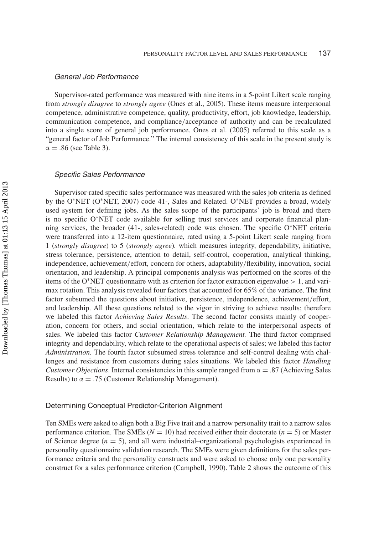## *General Job Performance*

Supervisor-rated performance was measured with nine items in a 5-point Likert scale ranging from *strongly disagree* to *strongly agree* (Ones et al., 2005). These items measure interpersonal competence, administrative competence, quality, productivity, effort, job knowledge, leadership, communication competence, and compliance*/*acceptance of authority and can be recalculated into a single score of general job performance. Ones et al. (2005) referred to this scale as a "general factor of Job Performance." The internal consistency of this scale in the present study is  $\alpha = .86$  (see Table 3).

## *Specific Sales Performance*

Supervisor-rated specific sales performance was measured with the sales job criteria as defined by the O∗NET (O∗NET, 2007) code 41-, Sales and Related. O∗NET provides a broad, widely used system for defining jobs. As the sales scope of the participants' job is broad and there is no specific O∗NET code available for selling trust services and corporate financial planning services, the broader (41-, sales-related) code was chosen. The specific O∗NET criteria were transferred into a 12-item questionnaire, rated using a 5-point Likert scale ranging from 1 (*strongly disagree*) to 5 (*strongly agree*)*.* which measures integrity, dependability, initiative, stress tolerance, persistence, attention to detail, self-control, cooperation, analytical thinking, independence, achievement*/*effort, concern for others, adaptability*/*flexibility, innovation, social orientation, and leadership. A principal components analysis was performed on the scores of the items of the O∗NET questionnaire with as criterion for factor extraction eigenvalue *>* 1, and varimax rotation. This analysis revealed four factors that accounted for 65% of the variance. The first factor subsumed the questions about initiative, persistence, independence, achievement*/*effort, and leadership. All these questions related to the vigor in striving to achieve results; therefore we labeled this factor *Achieving Sales Results*. The second factor consists mainly of cooperation, concern for others, and social orientation, which relate to the interpersonal aspects of sales. We labeled this factor *Customer Relationship Management.* The third factor comprised integrity and dependability, which relate to the operational aspects of sales; we labeled this factor *Administration.* The fourth factor subsumed stress tolerance and self-control dealing with challenges and resistance from customers during sales situations. We labeled this factor *Handling Customer Objections*. Internal consistencies in this sample ranged from  $\alpha = .87$  (Achieving Sales Results) to  $\alpha = .75$  (Customer Relationship Management).

## Determining Conceptual Predictor-Criterion Alignment

Ten SMEs were asked to align both a Big Five trait and a narrow personality trait to a narrow sales performance criterion. The SMEs ( $N = 10$ ) had received either their doctorate ( $n = 5$ ) or Master of Science degree  $(n = 5)$ , and all were industrial–organizational psychologists experienced in personality questionnaire validation research. The SMEs were given definitions for the sales performance criteria and the personality constructs and were asked to choose only one personality construct for a sales performance criterion (Campbell, 1990). Table 2 shows the outcome of this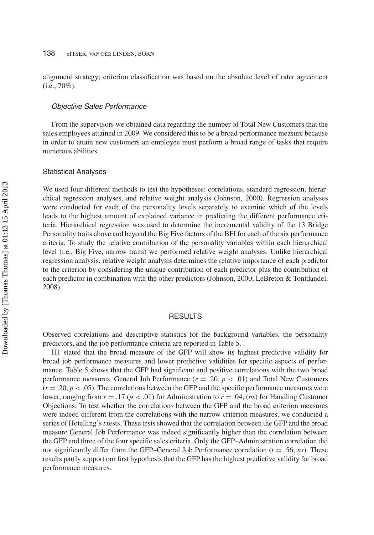#### 138 SITSER, VAN DER LINDEN, BORN

alignment strategy; criterion classification was based on the absolute level of rater agreement (i.e., 70%).

## *Objective Sales Performance*

From the supervisors we obtained data regarding the number of Total New Customers that the sales employees attained in 2009. We considered this to be a broad performance measure because in order to attain new customers an employee must perform a broad range of tasks that require numerous abilities.

#### Statistical Analyses

We used four different methods to test the hypotheses: correlations, standard regression, hierarchical regression analyses, and relative weight analysis (Johnson, 2000). Regression analyses were conducted for each of the personality levels separately to examine which of the levels leads to the highest amount of explained variance in predicting the different performance criteria. Hierarchical regression was used to determine the incremental validity of the 13 Bridge Personality traits above and beyond the Big Five factors of the BFI for each of the six performance criteria. To study the relative contribution of the personality variables within each hierarchical level (i.e., Big Five, narrow traits) we performed relative weight analyses. Unlike hierarchical regression analysis, relative weight analysis determines the relative importance of each predictor to the criterion by considering the unique contribution of each predictor plus the contribution of each predictor in combination with the other predictors (Johnson, 2000; LeBreton & Tonidandel, 2008).

# **RESULTS**

Observed correlations and descriptive statistics for the background variables, the personality predictors, and the job performance criteria are reported in Table 5.

H1 stated that the broad measure of the GFP will show its highest predictive validity for broad job performance measures and lower predictive validities for specific aspects of performance. Table 5 shows that the GFP had significant and positive correlations with the two broad performance measures, General Job Performance (*r* = .20, *p <* .01) and Total New Customers  $(r = .20, p < .05)$ . The correlations between the GFP and the specific performance measures were lower, ranging from  $r = .17$  ( $p < .01$ ) for Administration to  $r = .04$ , (*ns*) for Handling Customer Objections. To test whether the correlations between the GFP and the broad criterion measures were indeed different from the correlations with the narrow criterion measures, we conducted a series of Hotelling's*t* tests. These tests showed that the correlation between the GFP and the broad measure General Job Performance was indeed significantly higher than the correlation between the GFP and three of the four specific sales criteria. Only the GFP–Administration correlation did not significantly differ from the GFP–General Job Performance correlation (*t* = .56, *ns*). These results partly support our first hypothesis that the GFP has the highest predictive validity for broad performance measures.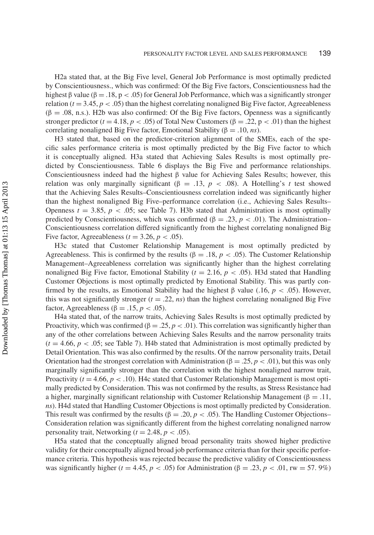H2a stated that, at the Big Five level, General Job Performance is most optimally predicted by Conscientiousness., which was confirmed: Of the Big Five factors, Conscientiousness had the highest β value (β = .18, p *<* .05) for General Job Performance, which was a significantly stronger relation ( $t = 3.45$ ,  $p < .05$ ) than the highest correlating nonaligned Big Five factor, Agreeableness  $(\beta = .08, n.s.)$ . H2b was also confirmed: Of the Big Five factors, Openness was a significantly stronger predictor ( $t = 4.18$ ,  $p < .05$ ) of Total New Customers ( $\beta = .22$ ,  $p < .01$ ) than the highest correlating nonaligned Big Five factor, Emotional Stability (β = .10, *ns*).

H3 stated that, based on the predictor-criterion alignment of the SMEs, each of the specific sales performance criteria is most optimally predicted by the Big Five factor to which it is conceptually aligned. H3a stated that Achieving Sales Results is most optimally predicted by Conscientiousness. Table 6 displays the Big Five and performance relationships. Conscientiousness indeed had the highest β value for Achieving Sales Results; however, this relation was only marginally significant (β = .13, *p* < .08). A Hotelling's *t* test showed that the Achieving Sales Results–Conscientiousness correlation indeed was significantly higher than the highest nonaligned Big Five–performance correlation (i.e., Achieving Sales Results– Openness  $t = 3.85$ ,  $p < .05$ ; see Table 7). H3b stated that Administration is most optimally predicted by Conscientiousness, which was confirmed ( $\beta = .23$ ,  $p < .01$ ). The Administration– Conscientiousness correlation differed significantly from the highest correlating nonaligned Big Five factor, Agreeableness ( $t = 3.26$ ,  $p < .05$ ).

H3c stated that Customer Relationship Management is most optimally predicted by Agreeableness. This is confirmed by the results ( $\beta = .18$ ,  $p < .05$ ). The Customer Relationship Management–Agreeableness correlation was significantly higher than the highest correlating nonaligned Big Five factor, Emotional Stability ( $t = 2.16$ ,  $p < .05$ ). H3d stated that Handling Customer Objections is most optimally predicted by Emotional Stability. This was partly confirmed by the results, as Emotional Stability had the highest β value (.16, *p <* .05). However, this was not significantly stronger  $(t = .22, ns)$  than the highest correlating nonaligned Big Five factor, Agreeableness ( $\beta = .15$ ,  $p < .05$ ).

H4a stated that, of the narrow traits, Achieving Sales Results is most optimally predicted by Proactivity, which was confirmed ( $\beta = .25$ ,  $p < .01$ ). This correlation was significantly higher than any of the other correlations between Achieving Sales Results and the narrow personality traits  $(t = 4.66, p < .05$ ; see Table 7). H4b stated that Administration is most optimally predicted by Detail Orientation. This was also confirmed by the results. Of the narrow personality traits, Detail Orientation had the strongest correlation with Administration ( $\beta = .25$ ,  $p < .01$ ), but this was only marginally significantly stronger than the correlation with the highest nonaligned narrow trait, Proactivity ( $t = 4.66$ ,  $p < .10$ ). H4c stated that Customer Relationship Management is most optimally predicted by Consideration. This was not confirmed by the results, as Stress Resistance had a higher, marginally significant relationship with Customer Relationship Management ( $\beta = .11$ , *ns*). H4d stated that Handling Customer Objections is most optimally predicted by Consideration. This result was confirmed by the results ( $\beta = .20$ ,  $p < .05$ ). The Handling Customer Objections– Consideration relation was significantly different from the highest correlating nonaligned narrow personality trait, Networking ( $t = 2.48$ ,  $p < .05$ ).

H5a stated that the conceptually aligned broad personality traits showed higher predictive validity for their conceptually aligned broad job performance criteria than for their specific performance criteria. This hypothesis was rejected because the predictive validity of Conscientiousness was significantly higher ( $t = 4.45$ ,  $p < .05$ ) for Administration (β = .23,  $p < .01$ , rw = 57. 9%)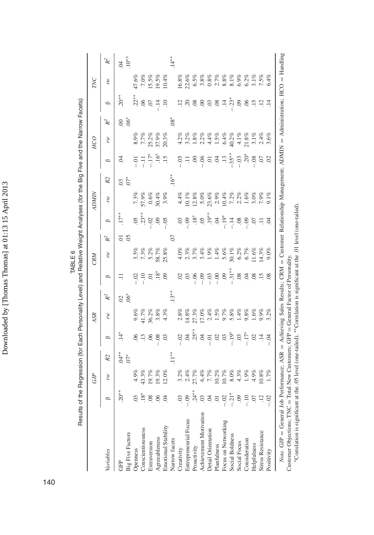| ֕<br>į<br>ı<br>֚<br>١<br>ׇ֠<br>֚֕֡ |
|------------------------------------|
| ֺ֚֚<br>֚֕֡<br>١                    |
| ī<br>۱<br>l                        |
| ī<br>Ï<br>Í<br>I.                  |
| ļ<br>ׇ֚<br>I                       |

| うしょう<br>I<br>$\begin{array}{c} \hline \end{array}$<br>1<br>I | )<br>)<br>)<br>i<br>l<br>i<br>l<br>ĺ<br>I<br>$\frac{1}{2}$<br>:<br>I<br>$\vdots$<br>١<br>i<br>í<br>ı |
|--------------------------------------------------------------|------------------------------------------------------------------------------------------------------|
|--------------------------------------------------------------|------------------------------------------------------------------------------------------------------|

|                                                                                                                                                    |               | GJP      |             |                 | ASR                            |               |                                                                                                   | CRM                                                 |             |                                                                                                                                                                                                                                                 | ADMIN                                                                      |                |                                                                                                                       | HCO                                                                                                      |         |                                                         | <b>TNC</b>                                                                     |                |
|----------------------------------------------------------------------------------------------------------------------------------------------------|---------------|----------|-------------|-----------------|--------------------------------|---------------|---------------------------------------------------------------------------------------------------|-----------------------------------------------------|-------------|-------------------------------------------------------------------------------------------------------------------------------------------------------------------------------------------------------------------------------------------------|----------------------------------------------------------------------------|----------------|-----------------------------------------------------------------------------------------------------------------------|----------------------------------------------------------------------------------------------------------|---------|---------------------------------------------------------|--------------------------------------------------------------------------------|----------------|
| Variables                                                                                                                                          | ≏             | ξ        | R2          | $\infty$        | ξ                              | $R^2$         | $\circ$                                                                                           | ξ                                                   | $R^2$       | $\infty$                                                                                                                                                                                                                                        | ξ                                                                          | R <sub>2</sub> | $\infty$                                                                                                              | ξ                                                                                                        | $R^2$   | $\infty$                                                | K                                                                              | $R^2$          |
| GFP                                                                                                                                                | $20^{**}$     |          | $04*$       | $\ddot{1}4$     |                                | $\mathcal{O}$ |                                                                                                   |                                                     | 5           | $.17***$                                                                                                                                                                                                                                        |                                                                            | $\infty$       | ੜੰ                                                                                                                    |                                                                                                          | $\odot$ | $.20**$                                                 |                                                                                | $\overline{5}$ |
| <b>Big Five Factors</b>                                                                                                                            |               |          | $\tilde{C}$ |                 |                                | $6*$          |                                                                                                   |                                                     | 65          |                                                                                                                                                                                                                                                 |                                                                            | $\tilde{C}^*$  |                                                                                                                       |                                                                                                          | $6^*$   |                                                         |                                                                                | $10*$          |
| Openness                                                                                                                                           |               | 4.9%     |             | $\sim$          |                                |               | $-0.02$                                                                                           |                                                     |             |                                                                                                                                                                                                                                                 |                                                                            |                |                                                                                                                       |                                                                                                          |         |                                                         | 47.6%                                                                          |                |
| Conscientiousness                                                                                                                                  | $.18*$        | 43.3%    |             | $\frac{13}{10}$ | 9.6%<br>41.7%<br>36.2%<br>3.8% |               | $-10$                                                                                             | $3.5\%$<br>$7.3\%$<br>$5.2\%$<br>$5.2\%$<br>$5.8\%$ |             | $\frac{05}{23}$<br>$-02$                                                                                                                                                                                                                        | $7.3\%$<br>$57.9\%$<br>$6.6\%$<br>$30.4\%$<br>$3.9\%$                      |                | $\begin{array}{c}\n\overrightarrow{C} \\ \overrightarrow{C} \\ \overrightarrow{C} \\ \overrightarrow{C}\n\end{array}$ | $0.9\%$<br>7.7%                                                                                          |         | $.22**$<br>06                                           |                                                                                |                |
| Extraversion                                                                                                                                       |               | 19.7%    |             |                 |                                |               | $\Xi$                                                                                             |                                                     |             |                                                                                                                                                                                                                                                 |                                                                            |                |                                                                                                                       |                                                                                                          |         | $07$                                                    | 7.0%<br>5.5%<br>15.5%                                                          |                |
| Agreeableness                                                                                                                                      |               | 19.3%    |             | 08              |                                |               | $.18*$                                                                                            |                                                     |             | $\odot$                                                                                                                                                                                                                                         |                                                                            |                | $.16*$                                                                                                                | 25.2%<br>37.9%<br>20.3%                                                                                  |         | $-14$                                                   |                                                                                |                |
| Emotional Stability                                                                                                                                |               | 12.0%    |             | 03              | 4.3%                           |               | 60.                                                                                               |                                                     |             | $-0.5$                                                                                                                                                                                                                                          |                                                                            |                | $\ddot{15}$                                                                                                           |                                                                                                          |         | $\ddot{=}$                                              | 10.4%                                                                          |                |
| Narrow facets                                                                                                                                      |               |          | $11**$      |                 |                                | $13**$        |                                                                                                   |                                                     | <b>CO</b> . |                                                                                                                                                                                                                                                 |                                                                            | $16**$         |                                                                                                                       |                                                                                                          | $08*$   |                                                         |                                                                                | $14**$         |
| Creativity                                                                                                                                         |               | $3.2\%$  |             |                 |                                |               |                                                                                                   |                                                     |             |                                                                                                                                                                                                                                                 |                                                                            |                | $-0.5$                                                                                                                |                                                                                                          |         |                                                         |                                                                                |                |
| Entrepreneurial Focus                                                                                                                              |               | $2.4\%$  |             |                 | $2.8\%$ 14.8%                  |               |                                                                                                   |                                                     |             | $\frac{6}{10}$                                                                                                                                                                                                                                  | $4.4\%$<br>10.1%                                                           |                | Ę                                                                                                                     |                                                                                                          |         |                                                         |                                                                                |                |
| Proactivity                                                                                                                                        |               | 27.7%    |             |                 |                                |               | $\frac{3}{2}$ $\frac{3}{2}$ $\frac{3}{2}$ $\frac{3}{2}$ $\frac{3}{2}$ $\frac{3}{2}$ $\frac{3}{2}$ |                                                     |             | $.18*$                                                                                                                                                                                                                                          | $\begin{array}{l} 12.8\% \\ 5.0\% \\ 2.9\% \\ 2.9\% \\ 10.4\% \end{array}$ |                |                                                                                                                       | 4 2 3 3 4 4 5 6 7 7 8 70 7<br>2 3 7 7 7 7 7 7 7 7 7 7 7 7 7 7 7 7 7<br>2 8 7 8 7 8 7 8 7 8 7 8 7 8 7 8 7 |         | $\frac{1}{2}$ $\frac{1}{2}$ $\frac{1}{2}$ $\frac{1}{2}$ | 8<br>8 8 8 8 8 8 8 8 8 8 8 8 8 8 8<br><u>6 9</u> 8 9 8 8 8 8 8 8 8 8 8 8 8 8 8 |                |
| Achievement Motivation                                                                                                                             | $\mathcal{L}$ | 6.4%     |             |                 | 27.3%<br>17.0%<br>2.4%         |               |                                                                                                   |                                                     |             |                                                                                                                                                                                                                                                 |                                                                            |                | $60 - 60$                                                                                                             |                                                                                                          |         |                                                         |                                                                                |                |
| Detail Orientation                                                                                                                                 |               | 7.7%     |             |                 |                                |               | $-0.03$                                                                                           |                                                     |             |                                                                                                                                                                                                                                                 |                                                                            |                |                                                                                                                       |                                                                                                          |         | $rac{6}{3}$                                             |                                                                                |                |
| Planfulness                                                                                                                                        |               | 10.2%    |             |                 | $1.5\%$                        |               | $-0.00$                                                                                           |                                                     |             | $3\frac{3}{7}$<br>$\frac{3}{7}$<br>$\frac{3}{7}$<br>$\frac{4}{7}$<br>$\frac{5}{7}$<br>$\frac{4}{7}$<br>$\frac{3}{7}$<br>$\frac{6}{7}$<br>$\frac{6}{7}$<br>$\frac{1}{7}$<br>$\frac{3}{7}$<br>$\frac{6}{7}$<br>$\frac{1}{7}$<br>$\frac{1}{7}$<br> |                                                                            |                | $\frac{5}{9}$ $\frac{3}{9}$ $\frac{3}{9}$ $\frac{3}{9}$ $\frac{3}{9}$ $\frac{3}{9}$                                   |                                                                                                          |         |                                                         |                                                                                |                |
| Focus on Networking                                                                                                                                |               | 10.7%    |             |                 |                                |               | 60                                                                                                |                                                     |             |                                                                                                                                                                                                                                                 |                                                                            |                |                                                                                                                       |                                                                                                          |         | $\ddot{\text{O}}$ : $\ddot{1}$                          |                                                                                |                |
| Social Boldness                                                                                                                                    |               | 8.0%     |             |                 | $9.7\%$ 5.8%                   |               | $-31**$                                                                                           |                                                     |             |                                                                                                                                                                                                                                                 |                                                                            |                |                                                                                                                       |                                                                                                          |         | $-23$ *                                                 |                                                                                |                |
| Social Focus                                                                                                                                       |               | 4.3%     |             |                 | 1.4%                           |               | $08$                                                                                              |                                                     |             |                                                                                                                                                                                                                                                 | $7.2%$<br>$2.2%$<br>$1.6%$                                                 |                |                                                                                                                       |                                                                                                          |         |                                                         |                                                                                |                |
| Consideration                                                                                                                                      |               | $1.9\%$  |             |                 | $9.8\%$                        |               |                                                                                                   | $6.2%$<br>$6.7%$<br>$11.6%$                         |             |                                                                                                                                                                                                                                                 |                                                                            |                |                                                                                                                       |                                                                                                          |         | 06                                                      |                                                                                |                |
| Helpfulness                                                                                                                                        |               | 4.9%     |             |                 | 1.6%                           |               | 3.89                                                                                              |                                                     |             | $\rm O$                                                                                                                                                                                                                                         | $3.0\%$                                                                    |                | $-0.08$                                                                                                               |                                                                                                          |         | $\ddot{5}$                                              |                                                                                |                |
| <b>Stress Resistance</b>                                                                                                                           |               | $10.8\%$ |             |                 | 9.9%                           |               |                                                                                                   | $14.3\%$<br>9.0%                                    |             | $\Xi$                                                                                                                                                                                                                                           | 7.9%                                                                       |                | $\odot$                                                                                                               |                                                                                                          |         | $\frac{12}{14}$                                         |                                                                                |                |
| Positivity                                                                                                                                         |               | 1.7%     |             | $-0.4$          | 3.2%                           |               | $\frac{8}{2}$                                                                                     |                                                     |             | S.                                                                                                                                                                                                                                              | 9.1%                                                                       |                | $\overline{c}$                                                                                                        |                                                                                                          |         |                                                         |                                                                                |                |
| Note. GJP = General Job Performance; ASR = Achieving Sales Results; CRM = Customer Relationship Management; ADMIN = Administration; HCO = Handling |               |          |             |                 |                                |               |                                                                                                   |                                                     |             |                                                                                                                                                                                                                                                 |                                                                            |                |                                                                                                                       |                                                                                                          |         |                                                         |                                                                                |                |

Customer Objections; TNC = Total New Customers; GFP = General Factor of Personality.<br>
\*Correlation is significant at the .05 level (one-tailed). \*\*Correlation is significant at the .01 level (one-tailed). ∗Correlation is significant at the .05 level (one-tailed). ∗∗Correlation is significant at the .01 level (one-tailed). Customer Objections; TNC = Total New Customers; GFP = General Factor of Personality.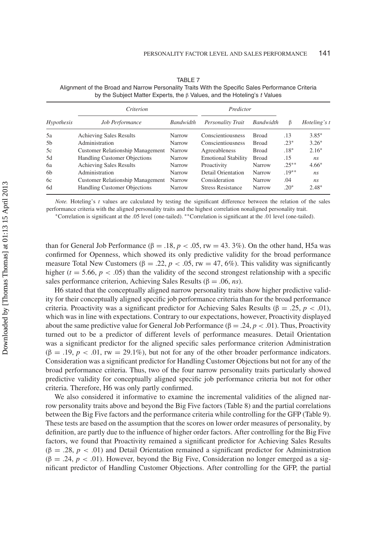|                   | Criterion                               | Predictor        |                            |                  |          |              |
|-------------------|-----------------------------------------|------------------|----------------------------|------------------|----------|--------------|
| <i>Hypothesis</i> | Job Performance                         | <b>Bandwidth</b> | Personality Trait          | <b>Bandwidth</b> | β        | Hoteling's t |
| 5a                | <b>Achieving Sales Results</b>          | Narrow           | Conscientiousness          | <b>Broad</b>     | .13      | $3.85*$      |
| 5b                | Administration                          | Narrow           | Conscientiousness          | <b>Broad</b>     | $.23*$   | $3.26*$      |
| 5c                | <b>Customer Relationship Management</b> | Narrow           | Agreeableness              | <b>Broad</b>     | $.18*$   | $2.16*$      |
| 5d                | <b>Handling Customer Objections</b>     | Narrow           | <b>Emotional Stability</b> | <b>Broad</b>     | .15      | ns           |
| 6a                | <b>Achieving Sales Results</b>          | Narrow           | Proactivity                | Narrow           | $.25***$ | $4.66*$      |
| 6b.               | Administration                          | Narrow           | Detail Orientation         | Narrow           | $.19***$ | $n_{\rm S}$  |
| 6с                | <b>Customer Relationship Management</b> | Narrow           | Consideration              | Narrow           | .04      | $n_{\rm S}$  |
| 6d                | <b>Handling Customer Objections</b>     | Narrow           | <b>Stress Resistance</b>   | Narrow           | $.20*$   | $2.48*$      |

TABLE 7 Alignment of the Broad and Narrow Personality Traits With the Specific Sales Performance Criteria by the Subject Matter Experts, the β Values, and the Hoteling's *t* Values

*Note.* Hoteling's *t* values are calculated by testing the significant difference between the relation of the sales performance criteria with the aligned personality traits and the highest correlation nonaligned personality trait.

∗Correlation is significant at the .05 level (one-tailed). ∗∗Correlation is significant at the .01 level (one-tailed).

than for General Job Performance ( $\beta = .18$ ,  $p < .05$ , rw = 43. 3%). On the other hand, H5a was confirmed for Openness, which showed its only predictive validity for the broad performance measure Total New Customers ( $\beta = .22$ ,  $p < .05$ , rw = 47, 6%). This validity was significantly higher ( $t = 5.66$ ,  $p < .05$ ) than the validity of the second strongest relationship with a specific sales performance criterion, Achieving Sales Results ( $\beta = .06$ , *ns*).

H6 stated that the conceptually aligned narrow personality traits show higher predictive validity for their conceptually aligned specific job performance criteria than for the broad performance criteria. Proactivity was a significant predictor for Achieving Sales Results ( $\beta = .25$ ,  $p < .01$ ), which was in line with expectations. Contrary to our expectations, however, Proactivity displayed about the same predictive value for General Job Performance  $(\beta = .24, p < .01)$ . Thus, Proactivity turned out to be a predictor of different levels of performance measures. Detail Orientation was a significant predictor for the aligned specific sales performance criterion Administration  $(\beta = .19, p < .01, rw = 29.1\%)$ , but not for any of the other broader performance indicators. Consideration was a significant predictor for Handling Customer Objections but not for any of the broad performance criteria. Thus, two of the four narrow personality traits particularly showed predictive validity for conceptually aligned specific job performance criteria but not for other criteria. Therefore, H6 was only partly confirmed.

We also considered it informative to examine the incremental validities of the aligned narrow personality traits above and beyond the Big Five factors (Table 8) and the partial correlations between the Big Five factors and the performance criteria while controlling for the GFP (Table 9). These tests are based on the assumption that the scores on lower order measures of personality, by definition, are partly due to the influence of higher order factors. After controlling for the Big Five factors, we found that Proactivity remained a significant predictor for Achieving Sales Results  $(β = .28, p < .01)$  and Detail Orientation remained a significant predictor for Administration  $(\beta = .24, p < .01)$ . However, beyond the Big Five, Consideration no longer emerged as a significant predictor of Handling Customer Objections. After controlling for the GFP, the partial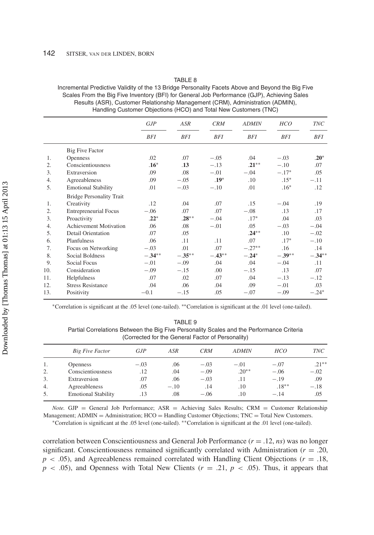#### TABLE 8

Incremental Predictive Validity of the 13 Bridge Personality Facets Above and Beyond the Big Five Scales From the Big Five Inventory (BFI) for General Job Performance (GJP), Achieving Sales Results (ASR), Customer Relationship Management (CRM), Administration (ADMIN), Handling Customer Objections (HCO) and Total New Customers (TNC)

|     |                                 | GJP        | ASR        | <b>CRM</b> | <b>ADMIN</b> | <b>HCO</b> | <b>TNC</b> |  |
|-----|---------------------------------|------------|------------|------------|--------------|------------|------------|--|
|     |                                 | <b>BFI</b> | <b>BFI</b> | <b>BFI</b> | <b>BFI</b>   | <b>BFI</b> | BFI        |  |
|     | <b>Big Five Factor</b>          |            |            |            |              |            |            |  |
| 1.  | <b>Openness</b>                 | .02        | .07        | $-.05$     | .04          | $-.03$     | $.20*$     |  |
| 2.  | Conscientiousness               | $.16*$     | .13        | $-.13$     | $.21***$     | $-.10$     | .07        |  |
| 3.  | Extraversion                    | .09        | .08        | $-.01$     | $-.04$       | $-.17*$    | .05        |  |
| 4.  | Agreeableness                   | .09        | $-.05$     | $.19*$     | .10          | $.15*$     | $-.11$     |  |
| 5.  | <b>Emotional Stability</b>      | .01        | $-.03$     | $-.10$     | .01          | $.16*$     | .12        |  |
|     | <b>Bridge Personality Trait</b> |            |            |            |              |            |            |  |
| 1.  | Creativity                      | .12        | .04        | .07        | .15          | $-.04$     | .19        |  |
| 2.  | <b>Entrepreneurial Focus</b>    | $-.06$     | .07        | .07        | $-.08$       | .13        | .17        |  |
| 3.  | Proactivity                     | $.22*$     | $.28**$    | $-.04$     | $.17*$       | .04        | .03        |  |
| 4.  | <b>Achievement Motivation</b>   | .06        | .08        | $-.01$     | .05          | $-.03$     | $-.04$     |  |
| 5.  | Detail Orientation              | .07        | .05        |            | $.24***$     | .10        | $-.02$     |  |
| 6.  | Planfulness                     | .06        | .11        | .11        | .07          | $.17*$     | $-.10$     |  |
| 7.  | Focus on Networking             | $-.03$     | .01        | .07        | $-.27**$     | .16        | .14        |  |
| 8.  | Social Boldness                 | $-.34***$  | $-.35***$  | $-.43**$   | $-.24*$      | $-.39**$   | $-.34**$   |  |
| 9.  | Social Focus                    | $-.01$     | $-.09$     | .04        | .04          | $-.04$     | .11        |  |
| 10. | Consideration                   | $-.09$     | $-.15$     | .00        | $-.15$       | .13        | .07        |  |
| 11. | Helpfulness                     | .07        | .02        | .07        | .04          | $-.13$     | $-.12$     |  |
| 12. | <b>Stress Resistance</b>        | .04        | .06        | .04        | .09          | $-.01$     | .03        |  |
| 13. | Positivity                      | $-0.1$     | $-.15$     | .05        | $-.07$       | $-.09$     | $-.24*$    |  |
|     |                                 |            |            |            |              |            |            |  |

∗Correlation is significant at the .05 level (one-tailed). ∗∗Correlation is significant at the .01 level (one-tailed).

TABLE 9 Partial Correlations Between the Big Five Personality Scales and the Performance Criteria (Corrected for the General Factor of Personality)

|    | <b>Big Five Factor</b>     | GJP    | ASR    | <i>CRM</i> | <b>ADMIN</b> | HCO     | TNC      |
|----|----------------------------|--------|--------|------------|--------------|---------|----------|
|    | <b>Openness</b>            | $-.03$ | .06    | $-.03$     | $-.01$       | $-.07$  | $.21***$ |
| 2. | Conscientiousness          | .12    | .04    | $-.09$     | $.20**$      | $-.06$  | $-.02$   |
| 3. | Extraversion               | .07    | .06    | $-.03$     | .11          | $-.19$  | .09      |
| 4. | Agreeableness              | .05    | $-.10$ | .14        | .10          | $.18**$ | $-.18$   |
| 5. | <b>Emotional Stability</b> | .13    | .08    | $-.06$     | .10          | $-.14$  | .05      |
|    |                            |        |        |            |              |         |          |

*Note.*  $GJP =$  General Job Performance;  $ASR =$  Achieving Sales Results;  $CRM =$  Customer Relationship Management; ADMIN = Administration; HCO = Handling Customer Objections; TNC = Total New Customers.

∗Correlation is significant at the .05 level (one-tailed). ∗∗Correlation is significant at the .01 level (one-tailed).

correlation between Conscientiousness and General Job Performance (*r* = .12, *ns*) was no longer significant. Conscientiousness remained significantly correlated with Administration (*r* = .20,  $p < .05$ ), and Agreeableness remained correlated with Handling Client Objections ( $r = .18$ ,  $p \lt 0.05$ , and Openness with Total New Clients ( $r = 0.21$ ,  $p \lt 0.05$ ). Thus, it appears that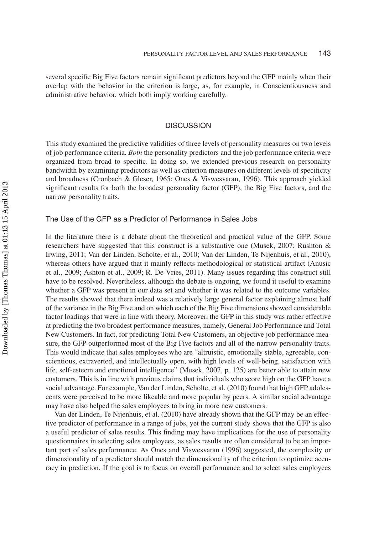several specific Big Five factors remain significant predictors beyond the GFP mainly when their overlap with the behavior in the criterion is large, as, for example, in Conscientiousness and administrative behavior, which both imply working carefully.

## **DISCUSSION**

This study examined the predictive validities of three levels of personality measures on two levels of job performance criteria. *Both* the personality predictors and the job performance criteria were organized from broad to specific. In doing so, we extended previous research on personality bandwidth by examining predictors as well as criterion measures on different levels of specificity and broadness (Cronbach & Gleser, 1965; Ones & Viswesvaran, 1996). This approach yielded significant results for both the broadest personality factor (GFP), the Big Five factors, and the narrow personality traits.

## The Use of the GFP as a Predictor of Performance in Sales Jobs

In the literature there is a debate about the theoretical and practical value of the GFP. Some researchers have suggested that this construct is a substantive one (Musek, 2007; Rushton & Irwing, 2011; Van der Linden, Scholte, et al., 2010; Van der Linden, Te Nijenhuis, et al., 2010), whereas others have argued that it mainly reflects methodological or statistical artifact (Anusic et al., 2009; Ashton et al., 2009; R. De Vries, 2011). Many issues regarding this construct still have to be resolved. Nevertheless, although the debate is ongoing, we found it useful to examine whether a GFP was present in our data set and whether it was related to the outcome variables. The results showed that there indeed was a relatively large general factor explaining almost half of the variance in the Big Five and on which each of the Big Five dimensions showed considerable factor loadings that were in line with theory. Moreover, the GFP in this study was rather effective at predicting the two broadest performance measures, namely, General Job Performance and Total New Customers. In fact, for predicting Total New Customers, an objective job performance measure, the GFP outperformed most of the Big Five factors and all of the narrow personality traits. This would indicate that sales employees who are "altruistic, emotionally stable, agreeable, conscientious, extraverted, and intellectually open, with high levels of well-being, satisfaction with life, self-esteem and emotional intelligence" (Musek, 2007, p. 125) are better able to attain new customers. This is in line with previous claims that individuals who score high on the GFP have a social advantage. For example, Van der Linden, Scholte, et al. (2010) found that high GFP adolescents were perceived to be more likeable and more popular by peers. A similar social advantage may have also helped the sales employees to bring in more new customers.

Van der Linden, Te Nijenhuis, et al. (2010) have already shown that the GFP may be an effective predictor of performance in a range of jobs, yet the current study shows that the GFP is also a useful predictor of sales results. This finding may have implications for the use of personality questionnaires in selecting sales employees, as sales results are often considered to be an important part of sales performance. As Ones and Viswesvaran (1996) suggested, the complexity or dimensionality of a predictor should match the dimensionality of the criterion to optimize accuracy in prediction. If the goal is to focus on overall performance and to select sales employees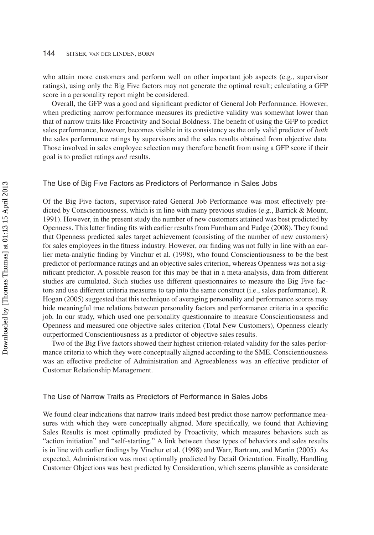#### 144 SITSER, VAN DER LINDEN, BORN

who attain more customers and perform well on other important job aspects (e.g., supervisor ratings), using only the Big Five factors may not generate the optimal result; calculating a GFP score in a personality report might be considered.

Overall, the GFP was a good and significant predictor of General Job Performance. However, when predicting narrow performance measures its predictive validity was somewhat lower than that of narrow traits like Proactivity and Social Boldness. The benefit of using the GFP to predict sales performance, however, becomes visible in its consistency as the only valid predictor of *both* the sales performance ratings by supervisors and the sales results obtained from objective data. Those involved in sales employee selection may therefore benefit from using a GFP score if their goal is to predict ratings *and* results.

## The Use of Big Five Factors as Predictors of Performance in Sales Jobs

Of the Big Five factors, supervisor-rated General Job Performance was most effectively predicted by Conscientiousness, which is in line with many previous studies (e.g., Barrick & Mount, 1991). However, in the present study the number of new customers attained was best predicted by Openness. This latter finding fits with earlier results from Furnham and Fudge (2008). They found that Openness predicted sales target achievement (consisting of the number of new customers) for sales employees in the fitness industry. However, our finding was not fully in line with an earlier meta-analytic finding by Vinchur et al. (1998), who found Conscientiousness to be the best predictor of performance ratings and an objective sales criterion, whereas Openness was not a significant predictor. A possible reason for this may be that in a meta-analysis, data from different studies are cumulated. Such studies use different questionnaires to measure the Big Five factors and use different criteria measures to tap into the same construct (i.e., sales performance). R. Hogan (2005) suggested that this technique of averaging personality and performance scores may hide meaningful true relations between personality factors and performance criteria in a specific job. In our study, which used one personality questionnaire to measure Conscientiousness and Openness and measured one objective sales criterion (Total New Customers), Openness clearly outperformed Conscientiousness as a predictor of objective sales results.

Two of the Big Five factors showed their highest criterion-related validity for the sales performance criteria to which they were conceptually aligned according to the SME. Conscientiousness was an effective predictor of Administration and Agreeableness was an effective predictor of Customer Relationship Management.

## The Use of Narrow Traits as Predictors of Performance in Sales Jobs

We found clear indications that narrow traits indeed best predict those narrow performance measures with which they were conceptually aligned. More specifically, we found that Achieving Sales Results is most optimally predicted by Proactivity, which measures behaviors such as "action initiation" and "self-starting." A link between these types of behaviors and sales results is in line with earlier findings by Vinchur et al. (1998) and Warr, Bartram, and Martin (2005). As expected, Administration was most optimally predicted by Detail Orientation. Finally, Handling Customer Objections was best predicted by Consideration, which seems plausible as considerate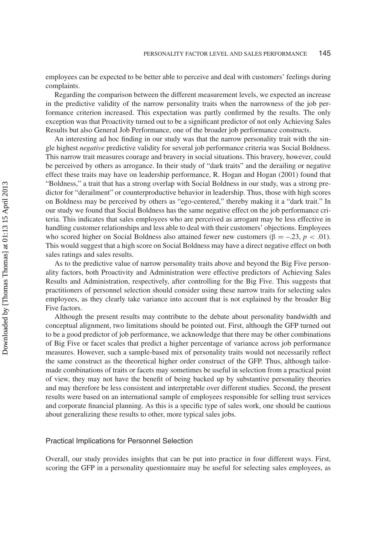employees can be expected to be better able to perceive and deal with customers' feelings during complaints.

Regarding the comparison between the different measurement levels, we expected an increase in the predictive validity of the narrow personality traits when the narrowness of the job performance criterion increased. This expectation was partly confirmed by the results. The only exception was that Proactivity turned out to be a significant predictor of not only Achieving Sales Results but also General Job Performance, one of the broader job performance constructs.

An interesting ad hoc finding in our study was that the narrow personality trait with the single highest *negative* predictive validity for several job performance criteria was Social Boldness. This narrow trait measures courage and bravery in social situations. This bravery, however, could be perceived by others as arrogance. In their study of "dark traits" and the derailing or negative effect these traits may have on leadership performance, R. Hogan and Hogan (2001) found that "Boldness," a trait that has a strong overlap with Social Boldness in our study, was a strong predictor for "derailment" or counterproductive behavior in leadership. Thus, those with high scores on Boldness may be perceived by others as "ego-centered," thereby making it a "dark trait." In our study we found that Social Boldness has the same negative effect on the job performance criteria. This indicates that sales employees who are perceived as arrogant may be less effective in handling customer relationships and less able to deal with their customers' objections. Employees who scored higher on Social Boldness also attained fewer new customers  $(\beta = -0.23, p < .01)$ . This would suggest that a high score on Social Boldness may have a direct negative effect on both sales ratings and sales results.

As to the predictive value of narrow personality traits above and beyond the Big Five personality factors, both Proactivity and Administration were effective predictors of Achieving Sales Results and Administration, respectively, after controlling for the Big Five. This suggests that practitioners of personnel selection should consider using these narrow traits for selecting sales employees, as they clearly take variance into account that is not explained by the broader Big Five factors.

Although the present results may contribute to the debate about personality bandwidth and conceptual alignment, two limitations should be pointed out. First, although the GFP turned out to be a good predictor of job performance, we acknowledge that there may be other combinations of Big Five or facet scales that predict a higher percentage of variance across job performance measures. However, such a sample-based mix of personality traits would not necessarily reflect the same construct as the theoretical higher order construct of the GFP. Thus, although tailormade combinations of traits or facets may sometimes be useful in selection from a practical point of view, they may not have the benefit of being backed up by substantive personality theories and may therefore be less consistent and interpretable over different studies. Second, the present results were based on an international sample of employees responsible for selling trust services and corporate financial planning. As this is a specific type of sales work, one should be cautious about generalizing these results to other, more typical sales jobs.

## Practical Implications for Personnel Selection

Overall, our study provides insights that can be put into practice in four different ways. First, scoring the GFP in a personality questionnaire may be useful for selecting sales employees, as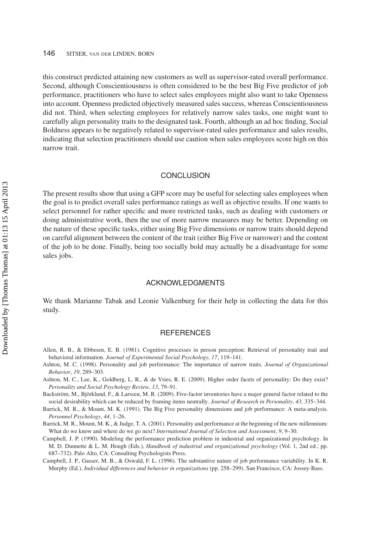this construct predicted attaining new customers as well as supervisor-rated overall performance. Second, although Conscientiousness is often considered to be the best Big Five predictor of job performance, practitioners who have to select sales employees might also want to take Openness into account. Openness predicted objectively measured sales success, whereas Conscientiousness did not. Third, when selecting employees for relatively narrow sales tasks, one might want to carefully align personality traits to the designated task. Fourth, although an ad hoc finding, Social Boldness appears to be negatively related to supervisor-rated sales performance and sales results, indicating that selection practitioners should use caution when sales employees score high on this narrow trait.

# **CONCLUSION**

The present results show that using a GFP score may be useful for selecting sales employees when the goal is to predict overall sales performance ratings as well as objective results. If one wants to select personnel for rather specific and more restricted tasks, such as dealing with customers or doing administrative work, then the use of more narrow measures may be better. Depending on the nature of these specific tasks, either using Big Five dimensions or narrow traits should depend on careful alignment between the content of the trait (either Big Five or narrower) and the content of the job to be done. Finally, being too socially bold may actually be a disadvantage for some sales jobs.

## ACKNOWLEDGMENTS

We thank Marianne Tabak and Leonie Valkenburg for their help in collecting the data for this study.

## **REFERENCES**

- Allen, R. B., & Ebbesen, E. B. (1981). Cognitive processes in person perception: Retrieval of personality trait and behavioral information. *Journal of Experimental Social Psychology*, *17*, 119–141.
- Ashton, M. C. (1998). Personality and job performance: The importance of narrow traits. *Journal of Organizational Behavior*, *19*, 289–303.
- Ashton, M. C., Lee, K., Goldberg, L. R., & de Vries, R. E. (2009). Higher order facets of personality: Do they exist? *Personality and Social Psychology Review*, *13*, 79–91.
- Backström, M., Björklund, F., & Larssen, M. R. (2009). Five-factor inventories have a major general factor related to the social desirability which can be reduced by framing items neutrally. *Journal of Research in Personality*, *43*, 335–344.
- Barrick, M. R., & Mount, M. K. (1991). The Big Five personality dimensions and job performance: A meta-analysis. *Personnel Psychology*, *44*, 1–26.
- Barrick, M. R., Mount, M. K., & Judge, T. A. (2001). Personality and performance at the beginning of the new millennium: What do we know and where do we go next? *International Journal of Selection and Assessment*, *9*, 9–30.
- Campbell, J. P. (1990). Modeling the performance prediction problem in industrial and organizational psychology. In M. D. Dunnette & L. M. Hough (Eds.), *Handbook of industrial and organizational psychology* (Vol. 1, 2nd ed.; pp. 687–732). Palo Alto, CA: Consulting Psychologists Press.
- Campbell, J. P., Gasser, M. B., & Oswald, F. L. (1996). The substantive nature of job performance variability. In K. R. Murphy (Ed.), *Individual differences and behavior in organizations* (pp. 258–299). San Francisco, CA: Jossey-Bass.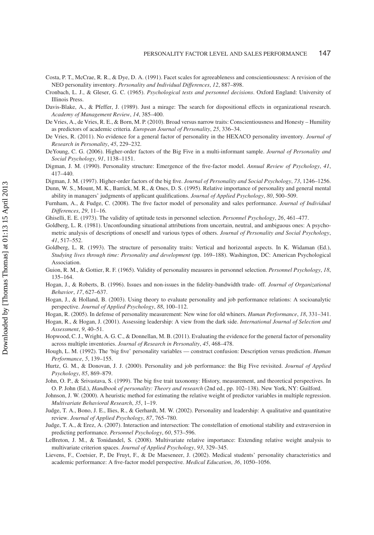- Costa, P. T., McCrae, R. R., & Dye, D. A. (1991). Facet scales for agreeableness and conscientiousness: A revision of the NEO personality inventory. *Personality and Individual Differences*, *12*, 887–898.
- Cronbach, L. J., & Gleser, G. C. (1965). *Psychological tests and personnel decisions*. Oxford England: University of Illinois Press.
- Davis-Blake, A., & Pfeffer, J. (1989). Just a mirage: The search for dispositional effects in organizational research. *Academy of Management Review*, *14*, 385–400.
- De Vries, A., de Vries, R. E., & Born, M. P. (2010). Broad versus narrow traits: Conscientiousness and Honesty Humility as predictors of academic criteria. *European Journal of Personality*, *25*, 336–34.
- De Vries, R. (2011). No evidence for a general factor of personality in the HEXACO personality inventory. *Journal of Research in Personality*, *45*, 229–232.
- DeYoung, C. G. (2006). Higher-order factors of the Big Five in a multi-informant sample. *Journal of Personality and Social Psychology*, *91*, 1138–1151.
- Digman, J. M. (1990). Personality structure: Emergence of the five-factor model. *Annual Review of Psychology*, *41*, 417–440.
- Digman, J. M. (1997). Higher-order factors of the big five. *Journal of Personality and Social Psychology*, *73*, 1246–1256.
- Dunn, W. S., Mount, M. K., Barrick, M. R., & Ones, D. S. (1995). Relative importance of personality and general mental ability in managers' judgments of applicant qualifications. *Journal of Applied Psychology*, *80*, 500–509.
- Furnham, A., & Fudge, C. (2008). The five factor model of personality and sales performance. *Journal of Individual Differences*, *29*, 11–16.
- Ghiselli, E. E. (1973). The validity of aptitude tests in personnel selection. *Personnel Psychology*, *26*, 461–477.
- Goldberg, L. R. (1981). Unconfounding situational attributions from uncertain, neutral, and ambiguous ones: A psychometric analysis of descriptions of oneself and various types of others. *Journal of Personality and Social Psychology*, *41*, 517–552.
- Goldberg, L. R. (1993). The structure of personality traits: Vertical and horizontal aspects. In K. Widaman (Ed.), *Studying lives through time: Personality and development* (pp. 169–188). Washington, DC: American Psychological Association.
- Guion, R. M., & Gottier, R. F. (1965). Validity of personality measures in personnel selection. *Personnel Psychology*, *18*, 135–164.
- Hogan, J., & Roberts, B. (1996). Issues and non-issues in the fidelity-bandwidth trade- off. *Journal of Organizational Behavior*, *17*, 627–637.
- Hogan, J., & Holland, B. (2003). Using theory to evaluate personality and job performance relations: A socioanalytic perspective. *Journal of Applied Psychology*, *88*, 100–112.
- Hogan, R. (2005). In defense of personality measurement: New wine for old whiners. *Human Performance*, *18*, 331–341.
- Hogan, R., & Hogan, J. (2001). Assessing leadership: A view from the dark side. *International Journal of Selection and Assessment*, *9*, 40–51.
- Hopwood, C. J., Wright, A. G. C., & Donnellan, M. B. (2011). Evaluating the evidence for the general factor of personality across multiple inventories. *Journal of Research in Personality*, *45*, 468–478.
- Hough, L. M. (1992). The 'big five' personality variables construct confusion: Description versus prediction. *Human Performance*, *5*, 139–155.
- Hurtz, G. M., & Donovan, J. J. (2000). Personality and job performance: the Big Five revisited. *Journal of Applied Psychology*, *85*, 869–879.
- John, O. P., & Srivastava, S. (1999). The big five trait taxonomy: History, measurement, and theoretical perspectives. In O. P. John (Ed.), *Handbook of personality: Theory and research* (2nd ed., pp. 102–138). New York, NY: Guilford.
- Johnson, J. W. (2000). A heuristic method for estimating the relative weight of predictor variables in multiple regression. *Multivariate Behavioral Research*, *35*, 1–19.
- Judge, T. A., Bono, J. E., Ilies, R., & Gerhardt, M. W. (2002). Personality and leadership: A qualitative and quantitative review. *Journal of Applied Psychology*, *87*, 765–780.
- Judge, T. A., & Erez, A. (2007). Interaction and intersection: The constellation of emotional stability and extraversion in predicting performance. *Personnel Psychology*, *60*, 573–596.
- LeBreton, J. M., & Tonidandel, S. (2008). Multivariate relative importance: Extending relative weight analysis to multivariate criterion spaces. *Journal of Applied Psychology*, *93*, 329–345.
- Lievens, F., Coetsier, P., De Fruyt, F., & De Maeseneer, J. (2002). Medical students' personality characteristics and academic performance: A five-factor model perspective. *Medical Education*, *36*, 1050–1056.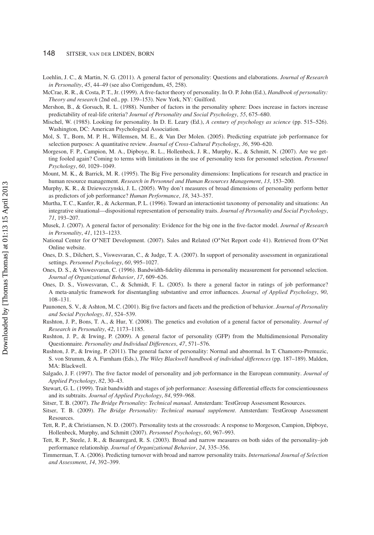- Loehlin, J. C., & Martin, N. G. (2011). A general factor of personality: Questions and elaborations. *Journal of Research in Personality*, *45*, 44–49 (see also Corrigendum, 45, 258).
- McCrae, R. R., & Costa, P. T., Jr. (1999). A five-factor theory of personality. In O. P. John (Ed.), *Handbook of personality: Theory and research* (2nd ed., pp. 139–153). New York, NY: Guilford.
- Mershon, B., & Gorsuch, R. L. (1988). Number of factors in the personality sphere: Does increase in factors increase predictability of real-life criteria? *Journal of Personality and Social Psychology*, *55*, 675–680.
- Mischel, W. (1985). Looking for personality. In D. E. Leary (Ed.), *A century of psychology as science* (pp. 515–526). Washington, DC: American Psychological Association.
- Mol, S. T., Born, M. P. H., Willemsen, M. E., & Van Der Molen. (2005). Predicting expatriate job performance for selection purposes: A quantitative review. *Journal of Cross-Cultural Psychology*, *36*, 590–620.
- Morgeson, F. P., Campion, M. A., Dipboye, R. L., Hollenbeck, J. R., Murphy, K., & Schmitt, N. (2007). Are we getting fooled again? Coming to terms with limitations in the use of personality tests for personnel selection. *Personnel Psychology*, *60*, 1029–1049.
- Mount, M. K., & Barrick, M. R. (1995). The Big Five personality dimensions: Implications for research and practice in human resource management. *Research in Personnel and Human Resources Management*, *13*, 153–200.
- Murphy, K. R., & Dzieweczynski, J. L. (2005). Why don't measures of broad dimensions of personality perform better as predictors of job performance? *Human Performance*, *18*, 343–357.
- Murtha, T. C., Kanfer, R., & Ackerman, P. L. (1996). Toward an interactionist taxonomy of personality and situations: An integrative situational—dispositional representation of personality traits. *Journal of Personality and Social Psychology*, *71*, 193–207.
- Musek, J. (2007). A general factor of personality: Evidence for the big one in the five-factor model. *Journal of Research in Personality*, *41*, 1213–1233.
- National Center for O∗NET Development. (2007). Sales and Related (O∗Net Report code 41). Retrieved from O∗Net Online website.
- Ones, D. S., Dilchert, S., Viswesvaran, C., & Judge, T. A. (2007). In support of personality assessment in organizational settings. *Personnel Psychology*, *60*, 995–1027.
- Ones, D. S., & Viswesvaran, C. (1996). Bandwidth-fidelity dilemma in personality measurement for personnel selection. *Journal of Organizational Behavior*, *17*, 609–626.
- Ones, D. S., Viswesvaran, C., & Schmidt, F. L. (2005). Is there a general factor in ratings of job performance? A meta-analytic framework for disentangling substantive and error influences. *Journal of Applied Psychology*, *90*, 108–131.
- Paunonen, S. V., & Ashton, M. C. (2001). Big five factors and facets and the prediction of behavior. *Journal of Personality and Social Psychology*, *81*, 524–539.
- Rushton, J. P., Bons, T. A., & Hur, Y. (2008). The genetics and evolution of a general factor of personality. *Journal of Research in Personality*, *42*, 1173–1185.
- Rushton, J. P., & Irwing, P. (2009). A general factor of personality (GFP) from the Multidimensional Personality Questionnaire. *Personality and Individual Differences*, *47*, 571–576.
- Rushton, J. P., & Irwing, P. (2011). The general factor of personality: Normal and abnormal. In T. Chamorro-Premuzic, S. von Strumm, & A. Furnham (Eds.), *The Wiley Blackwell handbook of individual differences* (pp. 187–189). Malden, MA: Blackwell.
- Salgado, J. F. (1997). The five factor model of personality and job performance in the European community. *Journal of Applied Psychology*, *82*, 30–43.
- Stewart, G. L. (1999). Trait bandwidth and stages of job performance: Assessing differential effects for conscientiousness and its subtraits. *Journal of Applied Psychology*, *84*, 959–968.
- Sitser, T. B. (2007). *The Bridge Personality: Technical manual*. Amsterdam: TestGroup Assessment Resources.
- Sitser, T. B. (2009). *The Bridge Personality: Technical manual supplement*. Amsterdam: TestGroup Assessment Resources.
- Tett, R. P., & Christiansen, N. D. (2007). Personality tests at the crossroads: A response to Morgeson, Campion, Dipboye, Hollenbeck, Murphy, and Schmitt (2007). *Personnel Psychology*, *60*, 967–993.
- Tett, R. P., Steele, J. R., & Beauregard, R. S. (2003). Broad and narrow measures on both sides of the personality–job performance relationship. *Journal of Organizational Behavior*, *24*, 335–356.
- Timmerman, T. A. (2006). Predicting turnover with broad and narrow personality traits. *International Journal of Selection and Assessment*, *14*, 392–399.